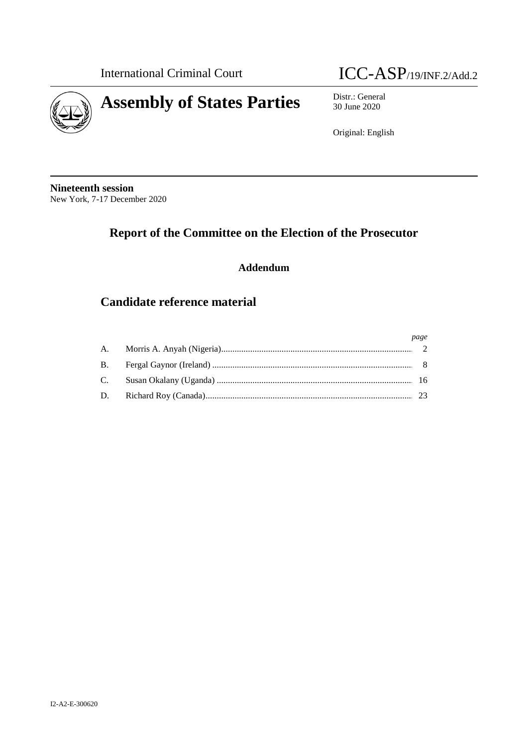

# International Criminal Court **ICC-ASP**/19/INF.2/Add.2

30 June 2020

Original: English

**Nineteenth session** New York, 7-17 December 2020

# **Report of the Committee on the Election of the Prosecutor**

## **Addendum**

## **Candidate reference material**

|  | page |
|--|------|
|  |      |
|  |      |
|  |      |
|  |      |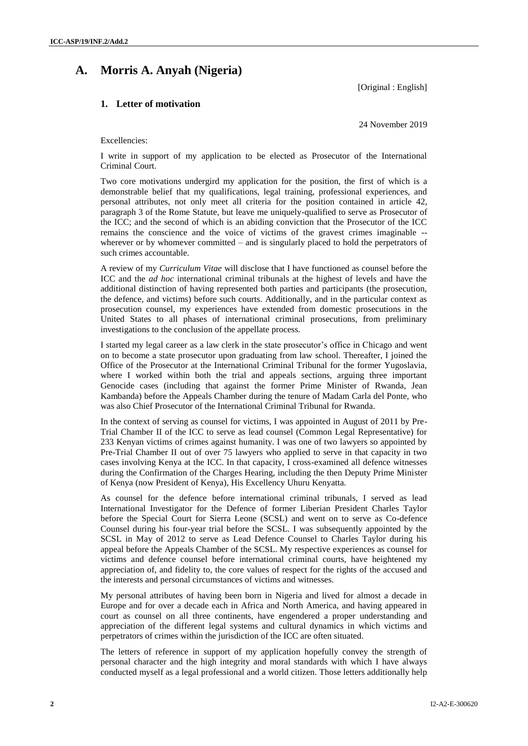## **A. Morris A. Anyah (Nigeria)**

[Original : English]

## **1. Letter of motivation**

24 November 2019

Excellencies:

I write in support of my application to be elected as Prosecutor of the International Criminal Court.

Two core motivations undergird my application for the position, the first of which is a demonstrable belief that my qualifications, legal training, professional experiences, and personal attributes, not only meet all criteria for the position contained in article 42, paragraph 3 of the Rome Statute, but leave me uniquely-qualified to serve as Prosecutor of the ICC; and the second of which is an abiding conviction that the Prosecutor of the ICC remains the conscience and the voice of victims of the gravest crimes imaginable - wherever or by whomever committed – and is singularly placed to hold the perpetrators of such crimes accountable.

A review of my *Curriculum Vitae* will disclose that I have functioned as counsel before the ICC and the *ad hoc* international criminal tribunals at the highest of levels and have the additional distinction of having represented both parties and participants (the prosecution, the defence, and victims) before such courts. Additionally, and in the particular context as prosecution counsel, my experiences have extended from domestic prosecutions in the United States to all phases of international criminal prosecutions, from preliminary investigations to the conclusion of the appellate process.

I started my legal career as a law clerk in the state prosecutor's office in Chicago and went on to become a state prosecutor upon graduating from law school. Thereafter, I joined the Office of the Prosecutor at the International Criminal Tribunal for the former Yugoslavia, where I worked within both the trial and appeals sections, arguing three important Genocide cases (including that against the former Prime Minister of Rwanda, Jean Kambanda) before the Appeals Chamber during the tenure of Madam Carla del Ponte, who was also Chief Prosecutor of the International Criminal Tribunal for Rwanda.

In the context of serving as counsel for victims, I was appointed in August of 2011 by Pre-Trial Chamber II of the ICC to serve as lead counsel (Common Legal Representative) for 233 Kenyan victims of crimes against humanity. I was one of two lawyers so appointed by Pre-Trial Chamber II out of over 75 lawyers who applied to serve in that capacity in two cases involving Kenya at the ICC. In that capacity, I cross-examined all defence witnesses during the Confirmation of the Charges Hearing, including the then Deputy Prime Minister of Kenya (now President of Kenya), His Excellency Uhuru Kenyatta.

As counsel for the defence before international criminal tribunals, I served as lead International Investigator for the Defence of former Liberian President Charles Taylor before the Special Court for Sierra Leone (SCSL) and went on to serve as Co-defence Counsel during his four-year trial before the SCSL. I was subsequently appointed by the SCSL in May of 2012 to serve as Lead Defence Counsel to Charles Taylor during his appeal before the Appeals Chamber of the SCSL. My respective experiences as counsel for victims and defence counsel before international criminal courts, have heightened my appreciation of, and fidelity to, the core values of respect for the rights of the accused and the interests and personal circumstances of victims and witnesses.

My personal attributes of having been born in Nigeria and lived for almost a decade in Europe and for over a decade each in Africa and North America, and having appeared in court as counsel on all three continents, have engendered a proper understanding and appreciation of the different legal systems and cultural dynamics in which victims and perpetrators of crimes within the jurisdiction of the ICC are often situated.

The letters of reference in support of my application hopefully convey the strength of personal character and the high integrity and moral standards with which I have always conducted myself as a legal professional and a world citizen. Those letters additionally help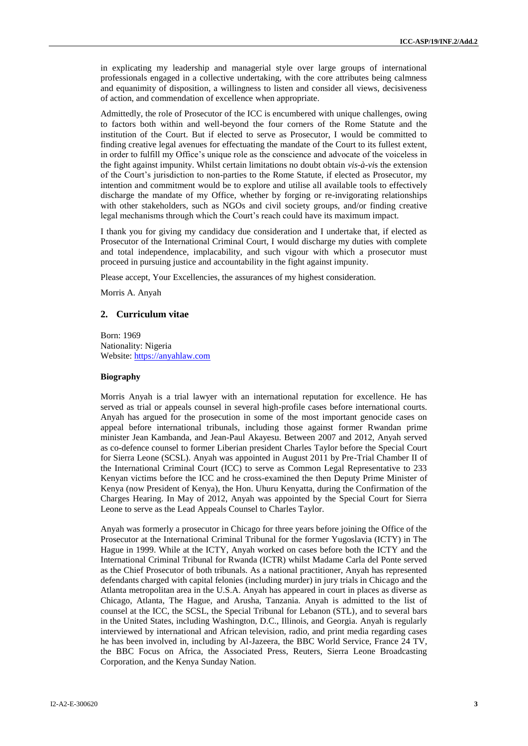in explicating my leadership and managerial style over large groups of international professionals engaged in a collective undertaking, with the core attributes being calmness and equanimity of disposition, a willingness to listen and consider all views, decisiveness of action, and commendation of excellence when appropriate.

Admittedly, the role of Prosecutor of the ICC is encumbered with unique challenges, owing to factors both within and well-beyond the four corners of the Rome Statute and the institution of the Court. But if elected to serve as Prosecutor, I would be committed to finding creative legal avenues for effectuating the mandate of the Court to its fullest extent, in order to fulfill my Office's unique role as the conscience and advocate of the voiceless in the fight against impunity. Whilst certain limitations no doubt obtain *vis-à-vi*s the extension of the Court's jurisdiction to non-parties to the Rome Statute, if elected as Prosecutor, my intention and commitment would be to explore and utilise all available tools to effectively discharge the mandate of my Office, whether by forging or re-invigorating relationships with other stakeholders, such as NGOs and civil society groups, and/or finding creative legal mechanisms through which the Court's reach could have its maximum impact.

I thank you for giving my candidacy due consideration and I undertake that, if elected as Prosecutor of the International Criminal Court, I would discharge my duties with complete and total independence, implacability, and such vigour with which a prosecutor must proceed in pursuing justice and accountability in the fight against impunity.

Please accept, Your Excellencies, the assurances of my highest consideration.

Morris A. Anyah

### **2. Curriculum vitae**

Born: 1969 Nationality: Nigeria Website: [https://anyahlaw.com](https://anyahlaw.com/)

#### **Biography**

Morris Anyah is a trial lawyer with an international reputation for excellence. He has served as trial or appeals counsel in several high-profile cases before international courts. Anyah has argued for the prosecution in some of the most important genocide cases on appeal before international tribunals, including those against former Rwandan prime minister Jean Kambanda, and Jean-Paul Akayesu. Between 2007 and 2012, Anyah served as co-defence counsel to former Liberian president Charles Taylor before the Special Court for Sierra Leone (SCSL). Anyah was appointed in August 2011 by Pre-Trial Chamber II of the International Criminal Court (ICC) to serve as Common Legal Representative to 233 Kenyan victims before the ICC and he cross-examined the then Deputy Prime Minister of Kenya (now President of Kenya), the Hon. Uhuru Kenyatta, during the Confirmation of the Charges Hearing. In May of 2012, Anyah was appointed by the Special Court for Sierra Leone to serve as the Lead Appeals Counsel to Charles Taylor.

Anyah was formerly a prosecutor in Chicago for three years before joining the Office of the Prosecutor at the International Criminal Tribunal for the former Yugoslavia (ICTY) in The Hague in 1999. While at the ICTY, Anyah worked on cases before both the ICTY and the International Criminal Tribunal for Rwanda (ICTR) whilst Madame Carla del Ponte served as the Chief Prosecutor of both tribunals. As a national practitioner, Anyah has represented defendants charged with capital felonies (including murder) in jury trials in Chicago and the Atlanta metropolitan area in the U.S.A. Anyah has appeared in court in places as diverse as Chicago, Atlanta, The Hague, and Arusha, Tanzania. Anyah is admitted to the list of counsel at the ICC, the SCSL, the Special Tribunal for Lebanon (STL), and to several bars in the United States, including Washington, D.C., Illinois, and Georgia. Anyah is regularly interviewed by international and African television, radio, and print media regarding cases he has been involved in, including by Al-Jazeera, the BBC World Service, France 24 TV, the BBC Focus on Africa, the Associated Press, Reuters, Sierra Leone Broadcasting Corporation, and the Kenya Sunday Nation.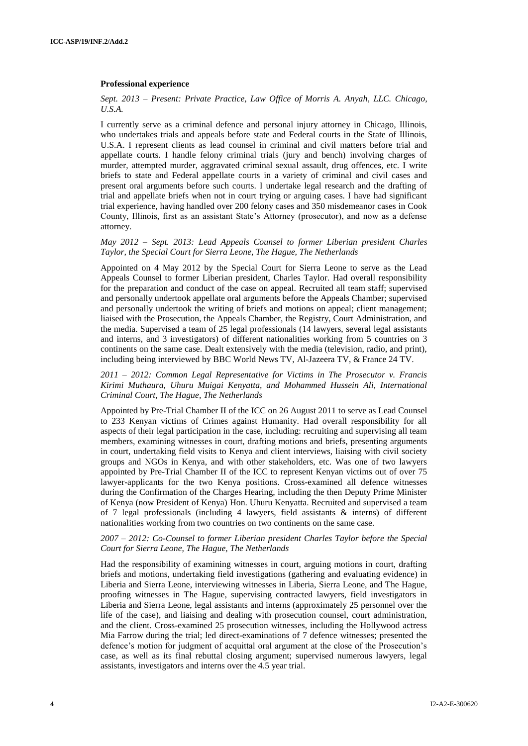#### **Professional experience**

#### *Sept. 2013 – Present: Private Practice, Law Office of Morris A. Anyah, LLC. Chicago, U.S.A.*

I currently serve as a criminal defence and personal injury attorney in Chicago, Illinois, who undertakes trials and appeals before state and Federal courts in the State of Illinois, U.S.A. I represent clients as lead counsel in criminal and civil matters before trial and appellate courts. I handle felony criminal trials (jury and bench) involving charges of murder, attempted murder, aggravated criminal sexual assault, drug offences, etc. I write briefs to state and Federal appellate courts in a variety of criminal and civil cases and present oral arguments before such courts. I undertake legal research and the drafting of trial and appellate briefs when not in court trying or arguing cases. I have had significant trial experience, having handled over 200 felony cases and 350 misdemeanor cases in Cook County, Illinois, first as an assistant State's Attorney (prosecutor), and now as a defense attorney.

#### *May 2012 – Sept. 2013: Lead Appeals Counsel to former Liberian president Charles Taylor, the Special Court for Sierra Leone, The Hague, The Netherlands*

Appointed on 4 May 2012 by the Special Court for Sierra Leone to serve as the Lead Appeals Counsel to former Liberian president, Charles Taylor. Had overall responsibility for the preparation and conduct of the case on appeal. Recruited all team staff; supervised and personally undertook appellate oral arguments before the Appeals Chamber; supervised and personally undertook the writing of briefs and motions on appeal; client management; liaised with the Prosecution, the Appeals Chamber, the Registry, Court Administration, and the media. Supervised a team of 25 legal professionals (14 lawyers, several legal assistants and interns, and 3 investigators) of different nationalities working from 5 countries on 3 continents on the same case. Dealt extensively with the media (television, radio, and print), including being interviewed by BBC World News TV, Al-Jazeera TV, & France 24 TV.

#### *2011 – 2012: Common Legal Representative for Victims in The Prosecutor v. Francis Kirimi Muthaura, Uhuru Muigai Kenyatta, and Mohammed Hussein Ali, International Criminal Court, The Hague, The Netherlands*

Appointed by Pre-Trial Chamber II of the ICC on 26 August 2011 to serve as Lead Counsel to 233 Kenyan victims of Crimes against Humanity. Had overall responsibility for all aspects of their legal participation in the case, including: recruiting and supervising all team members, examining witnesses in court, drafting motions and briefs, presenting arguments in court, undertaking field visits to Kenya and client interviews, liaising with civil society groups and NGOs in Kenya, and with other stakeholders, etc. Was one of two lawyers appointed by Pre-Trial Chamber II of the ICC to represent Kenyan victims out of over 75 lawyer-applicants for the two Kenya positions. Cross-examined all defence witnesses during the Confirmation of the Charges Hearing, including the then Deputy Prime Minister of Kenya (now President of Kenya) Hon. Uhuru Kenyatta. Recruited and supervised a team of 7 legal professionals (including 4 lawyers, field assistants & interns) of different nationalities working from two countries on two continents on the same case.

#### *2007 – 2012: Co-Counsel to former Liberian president Charles Taylor before the Special Court for Sierra Leone, The Hague, The Netherlands*

Had the responsibility of examining witnesses in court, arguing motions in court, drafting briefs and motions, undertaking field investigations (gathering and evaluating evidence) in Liberia and Sierra Leone, interviewing witnesses in Liberia, Sierra Leone, and The Hague, proofing witnesses in The Hague, supervising contracted lawyers, field investigators in Liberia and Sierra Leone, legal assistants and interns (approximately 25 personnel over the life of the case), and liaising and dealing with prosecution counsel, court administration, and the client. Cross-examined 25 prosecution witnesses, including the Hollywood actress Mia Farrow during the trial; led direct-examinations of 7 defence witnesses; presented the defence's motion for judgment of acquittal oral argument at the close of the Prosecution's case, as well as its final rebuttal closing argument; supervised numerous lawyers, legal assistants, investigators and interns over the 4.5 year trial.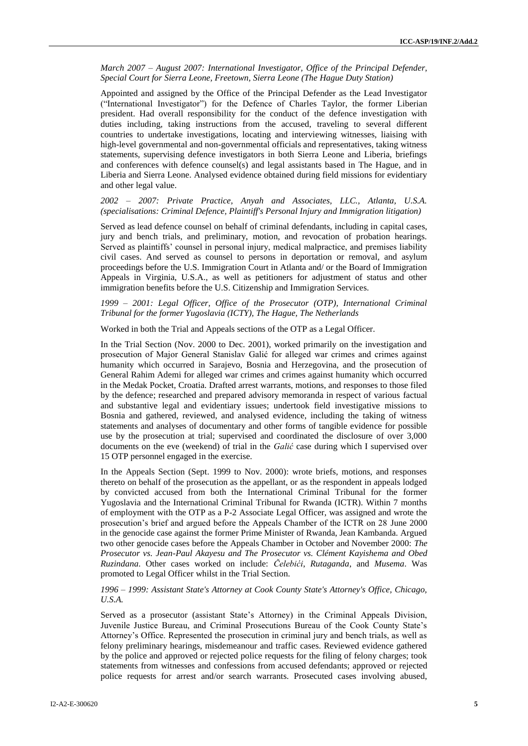*March 2007 – August 2007: International Investigator, Office of the Principal Defender, Special Court for Sierra Leone, Freetown, Sierra Leone (The Hague Duty Station)*

Appointed and assigned by the Office of the Principal Defender as the Lead Investigator ("International Investigator") for the Defence of Charles Taylor, the former Liberian president. Had overall responsibility for the conduct of the defence investigation with duties including, taking instructions from the accused, traveling to several different countries to undertake investigations, locating and interviewing witnesses, liaising with high-level governmental and non-governmental officials and representatives, taking witness statements, supervising defence investigators in both Sierra Leone and Liberia, briefings and conferences with defence counsel(s) and legal assistants based in The Hague, and in Liberia and Sierra Leone. Analysed evidence obtained during field missions for evidentiary and other legal value.

#### *2002 – 2007: Private Practice, Anyah and Associates, LLC., Atlanta, U.S.A. (specialisations: Criminal Defence, Plaintiff's Personal Injury and Immigration litigation)*

Served as lead defence counsel on behalf of criminal defendants, including in capital cases, jury and bench trials, and preliminary, motion, and revocation of probation hearings. Served as plaintiffs' counsel in personal injury, medical malpractice, and premises liability civil cases. And served as counsel to persons in deportation or removal, and asylum proceedings before the U.S. Immigration Court in Atlanta and/ or the Board of Immigration Appeals in Virginia, U.S.A., as well as petitioners for adjustment of status and other immigration benefits before the U.S. Citizenship and Immigration Services.

#### *1999 – 2001: Legal Officer, Office of the Prosecutor (OTP), International Criminal Tribunal for the former Yugoslavia (ICTY), The Hague, The Netherlands*

Worked in both the Trial and Appeals sections of the OTP as a Legal Officer.

In the Trial Section (Nov. 2000 to Dec. 2001), worked primarily on the investigation and prosecution of Major General Stanislav Galić for alleged war crimes and crimes against humanity which occurred in Sarajevo, Bosnia and Herzegovina, and the prosecution of General Rahim Ademi for alleged war crimes and crimes against humanity which occurred in the Medak Pocket, Croatia. Drafted arrest warrants, motions, and responses to those filed by the defence; researched and prepared advisory memoranda in respect of various factual and substantive legal and evidentiary issues; undertook field investigative missions to Bosnia and gathered, reviewed, and analysed evidence, including the taking of witness statements and analyses of documentary and other forms of tangible evidence for possible use by the prosecution at trial; supervised and coordinated the disclosure of over 3,000 documents on the eve (weekend) of trial in the *Galić* case during which I supervised over 15 OTP personnel engaged in the exercise.

In the Appeals Section (Sept. 1999 to Nov. 2000): wrote briefs, motions, and responses thereto on behalf of the prosecution as the appellant, or as the respondent in appeals lodged by convicted accused from both the International Criminal Tribunal for the former Yugoslavia and the International Criminal Tribunal for Rwanda (ICTR). Within 7 months of employment with the OTP as a P-2 Associate Legal Officer, was assigned and wrote the prosecution's brief and argued before the Appeals Chamber of the ICTR on 28 June 2000 in the genocide case against the former Prime Minister of Rwanda, Jean Kambanda. Argued two other genocide cases before the Appeals Chamber in October and November 2000: *The Prosecutor vs. Jean-Paul Akayesu and The Prosecutor vs. Clément Kayishema and Obed Ruzindana*. Other cases worked on include: *Čelebići*, *Rutaganda*, and *Musema*. Was promoted to Legal Officer whilst in the Trial Section.

*1996 – 1999: Assistant State's Attorney at Cook County State's Attorney's Office, Chicago, U.S.A.* 

Served as a prosecutor (assistant State's Attorney) in the Criminal Appeals Division, Juvenile Justice Bureau, and Criminal Prosecutions Bureau of the Cook County State's Attorney's Office. Represented the prosecution in criminal jury and bench trials, as well as felony preliminary hearings, misdemeanour and traffic cases. Reviewed evidence gathered by the police and approved or rejected police requests for the filing of felony charges; took statements from witnesses and confessions from accused defendants; approved or rejected police requests for arrest and/or search warrants. Prosecuted cases involving abused,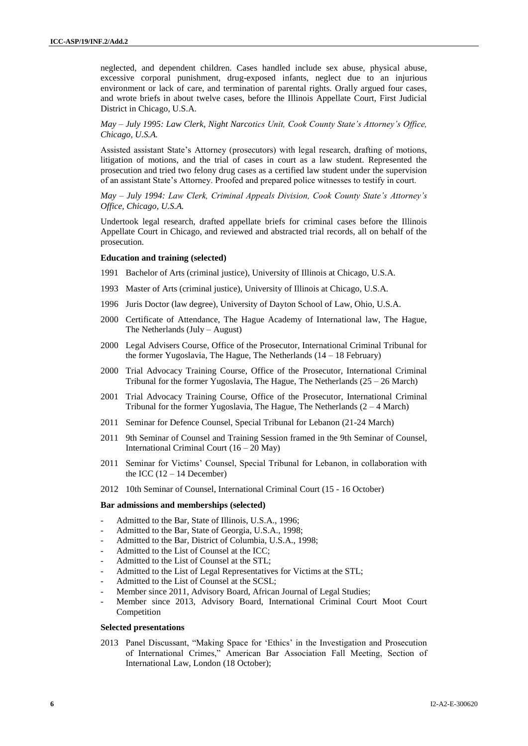neglected, and dependent children. Cases handled include sex abuse, physical abuse, excessive corporal punishment, drug-exposed infants, neglect due to an injurious environment or lack of care, and termination of parental rights. Orally argued four cases, and wrote briefs in about twelve cases, before the Illinois Appellate Court, First Judicial District in Chicago, U.S.A.

*May – July 1995: Law Clerk, Night Narcotics Unit, Cook County State's Attorney's Office, Chicago, U.S.A.*

Assisted assistant State's Attorney (prosecutors) with legal research, drafting of motions, litigation of motions, and the trial of cases in court as a law student. Represented the prosecution and tried two felony drug cases as a certified law student under the supervision of an assistant State's Attorney. Proofed and prepared police witnesses to testify in court.

*May – July 1994: Law Clerk, Criminal Appeals Division, Cook County State's Attorney's Office, Chicago, U.S.A.*

Undertook legal research, drafted appellate briefs for criminal cases before the Illinois Appellate Court in Chicago, and reviewed and abstracted trial records, all on behalf of the prosecution.

#### **Education and training (selected)**

- 1991 Bachelor of Arts (criminal justice), University of Illinois at Chicago, U.S.A.
- 1993 Master of Arts (criminal justice), University of Illinois at Chicago, U.S.A.
- 1996 Juris Doctor (law degree), University of Dayton School of Law, Ohio, U.S.A.
- 2000 Certificate of Attendance, The Hague Academy of International law, The Hague, The Netherlands (July – August)
- 2000 Legal Advisers Course, Office of the Prosecutor, International Criminal Tribunal for the former Yugoslavia, The Hague, The Netherlands (14 – 18 February)
- 2000 Trial Advocacy Training Course, Office of the Prosecutor, International Criminal Tribunal for the former Yugoslavia, The Hague, The Netherlands (25 – 26 March)
- 2001 Trial Advocacy Training Course, Office of the Prosecutor, International Criminal Tribunal for the former Yugoslavia, The Hague, The Netherlands  $(2 - 4$  March)
- 2011 Seminar for Defence Counsel, Special Tribunal for Lebanon (21-24 March)
- 2011 9th Seminar of Counsel and Training Session framed in the 9th Seminar of Counsel, International Criminal Court (16 – 20 May)
- 2011 Seminar for Victims' Counsel, Special Tribunal for Lebanon, in collaboration with the ICC  $(12 – 14$  December)
- 2012 10th Seminar of Counsel, International Criminal Court (15 16 October)

#### **Bar admissions and memberships (selected)**

- Admitted to the Bar, State of Illinois, U.S.A., 1996;
- Admitted to the Bar, State of Georgia, U.S.A., 1998;
- Admitted to the Bar, District of Columbia, U.S.A., 1998;
- Admitted to the List of Counsel at the ICC;
- Admitted to the List of Counsel at the STL;
- Admitted to the List of Legal Representatives for Victims at the STL;
- Admitted to the List of Counsel at the SCSL;
- Member since 2011, Advisory Board, African Journal of Legal Studies;
- Member since 2013, Advisory Board, International Criminal Court Moot Court Competition

#### **Selected presentations**

2013 Panel Discussant, "Making Space for 'Ethics' in the Investigation and Prosecution of International Crimes," American Bar Association Fall Meeting, Section of International Law, London (18 October);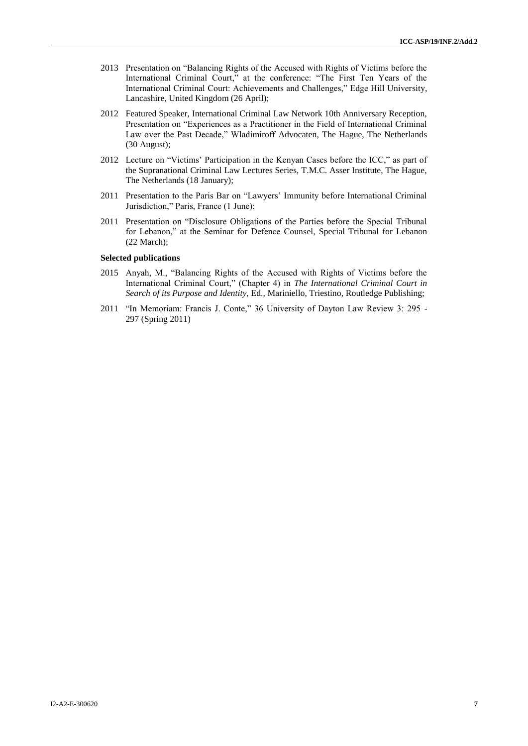- 2013 Presentation on "Balancing Rights of the Accused with Rights of Victims before the International Criminal Court," at the conference: "The First Ten Years of the International Criminal Court: Achievements and Challenges," Edge Hill University, Lancashire, United Kingdom (26 April);
- 2012 Featured Speaker, International Criminal Law Network 10th Anniversary Reception, Presentation on "Experiences as a Practitioner in the Field of International Criminal Law over the Past Decade," Wladimiroff Advocaten, The Hague, The Netherlands (30 August);
- 2012 Lecture on "Victims' Participation in the Kenyan Cases before the ICC," as part of the Supranational Criminal Law Lectures Series, T.M.C. Asser Institute, The Hague, The Netherlands (18 January);
- 2011 Presentation to the Paris Bar on "Lawyers' Immunity before International Criminal Jurisdiction," Paris, France (1 June);
- 2011 Presentation on "Disclosure Obligations of the Parties before the Special Tribunal for Lebanon," at the Seminar for Defence Counsel, Special Tribunal for Lebanon (22 March);

#### **Selected publications**

- 2015 Anyah, M., "Balancing Rights of the Accused with Rights of Victims before the International Criminal Court," (Chapter 4) in *The International Criminal Court in Search of its Purpose and Identity*, Ed., Mariniello, Triestino, Routledge Publishing;
- 2011 "In Memoriam: Francis J. Conte," 36 University of Dayton Law Review 3: 295 297 (Spring 2011)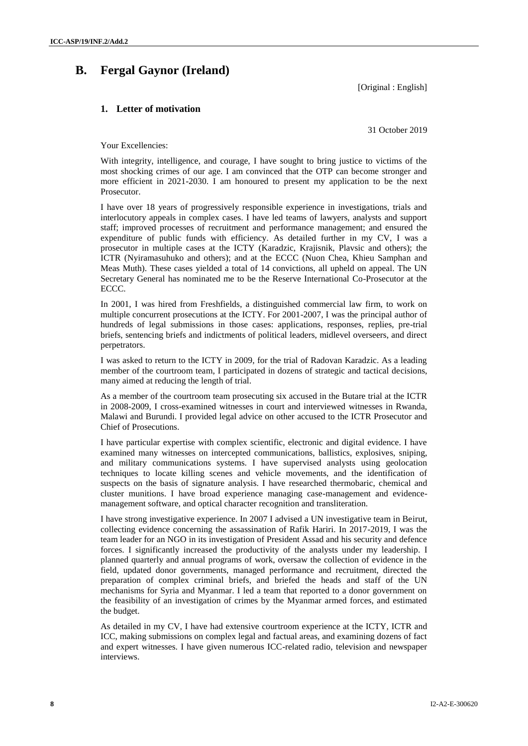## **B. Fergal Gaynor (Ireland)**

[Original : English]

## **1. Letter of motivation**

31 October 2019

Your Excellencies:

With integrity, intelligence, and courage, I have sought to bring justice to victims of the most shocking crimes of our age. I am convinced that the OTP can become stronger and more efficient in 2021-2030. I am honoured to present my application to be the next Prosecutor.

I have over 18 years of progressively responsible experience in investigations, trials and interlocutory appeals in complex cases. I have led teams of lawyers, analysts and support staff; improved processes of recruitment and performance management; and ensured the expenditure of public funds with efficiency. As detailed further in my CV, I was a prosecutor in multiple cases at the ICTY (Karadzic, Krajisnik, Plavsic and others); the ICTR (Nyiramasuhuko and others); and at the ECCC (Nuon Chea, Khieu Samphan and Meas Muth). These cases yielded a total of 14 convictions, all upheld on appeal. The UN Secretary General has nominated me to be the Reserve International Co-Prosecutor at the ECCC.

In 2001, I was hired from Freshfields, a distinguished commercial law firm, to work on multiple concurrent prosecutions at the ICTY. For 2001-2007, I was the principal author of hundreds of legal submissions in those cases: applications, responses, replies, pre-trial briefs, sentencing briefs and indictments of political leaders, midlevel overseers, and direct perpetrators.

I was asked to return to the ICTY in 2009, for the trial of Radovan Karadzic. As a leading member of the courtroom team, I participated in dozens of strategic and tactical decisions, many aimed at reducing the length of trial.

As a member of the courtroom team prosecuting six accused in the Butare trial at the ICTR in 2008-2009, I cross-examined witnesses in court and interviewed witnesses in Rwanda, Malawi and Burundi. I provided legal advice on other accused to the ICTR Prosecutor and Chief of Prosecutions.

I have particular expertise with complex scientific, electronic and digital evidence. I have examined many witnesses on intercepted communications, ballistics, explosives, sniping, and military communications systems. I have supervised analysts using geolocation techniques to locate killing scenes and vehicle movements, and the identification of suspects on the basis of signature analysis. I have researched thermobaric, chemical and cluster munitions. I have broad experience managing case-management and evidencemanagement software, and optical character recognition and transliteration.

I have strong investigative experience. In 2007 I advised a UN investigative team in Beirut, collecting evidence concerning the assassination of Rafik Hariri. In 2017-2019, I was the team leader for an NGO in its investigation of President Assad and his security and defence forces. I significantly increased the productivity of the analysts under my leadership. I planned quarterly and annual programs of work, oversaw the collection of evidence in the field, updated donor governments, managed performance and recruitment, directed the preparation of complex criminal briefs, and briefed the heads and staff of the UN mechanisms for Syria and Myanmar. I led a team that reported to a donor government on the feasibility of an investigation of crimes by the Myanmar armed forces, and estimated the budget.

As detailed in my CV, I have had extensive courtroom experience at the ICTY, ICTR and ICC, making submissions on complex legal and factual areas, and examining dozens of fact and expert witnesses. I have given numerous ICC-related radio, television and newspaper interviews.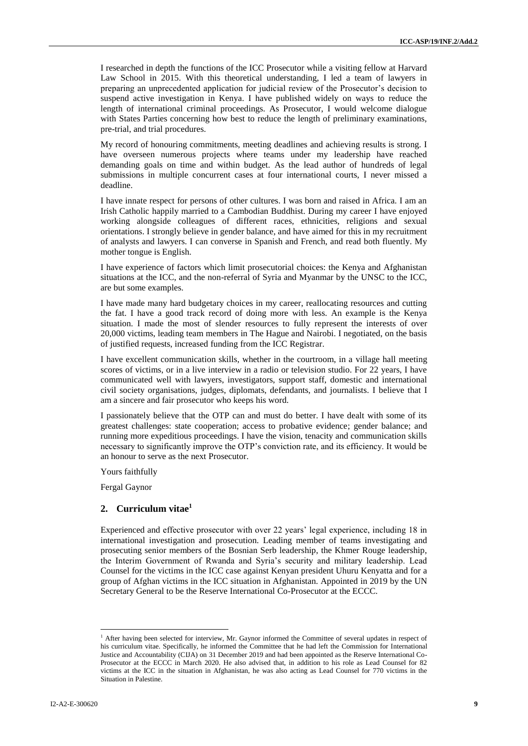I researched in depth the functions of the ICC Prosecutor while a visiting fellow at Harvard Law School in 2015. With this theoretical understanding, I led a team of lawyers in preparing an unprecedented application for judicial review of the Prosecutor's decision to suspend active investigation in Kenya. I have published widely on ways to reduce the length of international criminal proceedings. As Prosecutor, I would welcome dialogue with States Parties concerning how best to reduce the length of preliminary examinations, pre-trial, and trial procedures.

My record of honouring commitments, meeting deadlines and achieving results is strong. I have overseen numerous projects where teams under my leadership have reached demanding goals on time and within budget. As the lead author of hundreds of legal submissions in multiple concurrent cases at four international courts, I never missed a deadline.

I have innate respect for persons of other cultures. I was born and raised in Africa. I am an Irish Catholic happily married to a Cambodian Buddhist. During my career I have enjoyed working alongside colleagues of different races, ethnicities, religions and sexual orientations. I strongly believe in gender balance, and have aimed for this in my recruitment of analysts and lawyers. I can converse in Spanish and French, and read both fluently. My mother tongue is English.

I have experience of factors which limit prosecutorial choices: the Kenya and Afghanistan situations at the ICC, and the non-referral of Syria and Myanmar by the UNSC to the ICC, are but some examples.

I have made many hard budgetary choices in my career, reallocating resources and cutting the fat. I have a good track record of doing more with less. An example is the Kenya situation. I made the most of slender resources to fully represent the interests of over 20,000 victims, leading team members in The Hague and Nairobi. I negotiated, on the basis of justified requests, increased funding from the ICC Registrar.

I have excellent communication skills, whether in the courtroom, in a village hall meeting scores of victims, or in a live interview in a radio or television studio. For 22 years, I have communicated well with lawyers, investigators, support staff, domestic and international civil society organisations, judges, diplomats, defendants, and journalists. I believe that I am a sincere and fair prosecutor who keeps his word.

I passionately believe that the OTP can and must do better. I have dealt with some of its greatest challenges: state cooperation; access to probative evidence; gender balance; and running more expeditious proceedings. I have the vision, tenacity and communication skills necessary to significantly improve the OTP's conviction rate, and its efficiency. It would be an honour to serve as the next Prosecutor.

Yours faithfully

Fergal Gaynor

### **2. Curriculum vitae<sup>1</sup>**

Experienced and effective prosecutor with over 22 years' legal experience, including 18 in international investigation and prosecution. Leading member of teams investigating and prosecuting senior members of the Bosnian Serb leadership, the Khmer Rouge leadership, the Interim Government of Rwanda and Syria's security and military leadership. Lead Counsel for the victims in the ICC case against Kenyan president Uhuru Kenyatta and for a group of Afghan victims in the ICC situation in Afghanistan. Appointed in 2019 by the UN Secretary General to be the Reserve International Co-Prosecutor at the ECCC.

 $\overline{\phantom{a}}$ 

<sup>&</sup>lt;sup>1</sup> After having been selected for interview, Mr. Gaynor informed the Committee of several updates in respect of his curriculum vitae. Specifically, he informed the Committee that he had left the Commission for International Justice and Accountability (CIJA) on 31 December 2019 and had been appointed as the Reserve International Co-Prosecutor at the ECCC in March 2020. He also advised that, in addition to his role as Lead Counsel for 82 victims at the ICC in the situation in Afghanistan, he was also acting as Lead Counsel for 770 victims in the Situation in Palestine.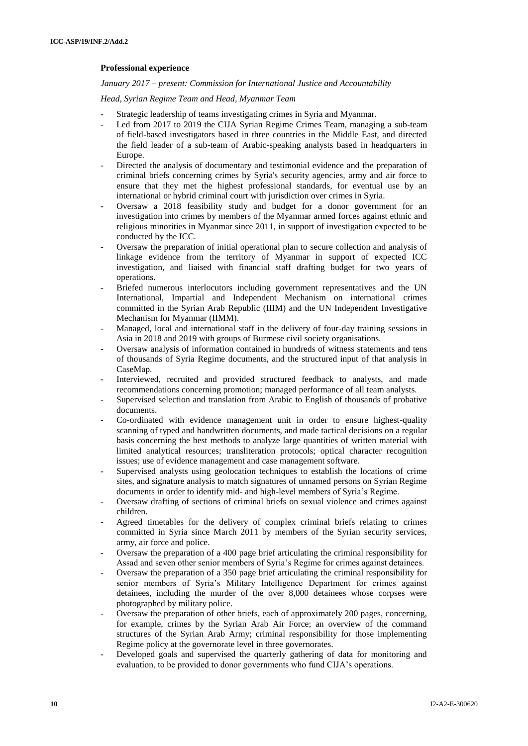### **Professional experience**

*January 2017 – present: Commission for International Justice and Accountability*

*Head, Syrian Regime Team and Head, Myanmar Team*

- Strategic leadership of teams investigating crimes in Syria and Myanmar.
- Led from 2017 to 2019 the CIJA Syrian Regime Crimes Team, managing a sub-team of field-based investigators based in three countries in the Middle East, and directed the field leader of a sub-team of Arabic-speaking analysts based in headquarters in Europe.
- Directed the analysis of documentary and testimonial evidence and the preparation of criminal briefs concerning crimes by Syria's security agencies, army and air force to ensure that they met the highest professional standards, for eventual use by an international or hybrid criminal court with jurisdiction over crimes in Syria.
- Oversaw a 2018 feasibility study and budget for a donor government for an investigation into crimes by members of the Myanmar armed forces against ethnic and religious minorities in Myanmar since 2011, in support of investigation expected to be conducted by the ICC.
- Oversaw the preparation of initial operational plan to secure collection and analysis of linkage evidence from the territory of Myanmar in support of expected ICC investigation, and liaised with financial staff drafting budget for two years of operations.
- Briefed numerous interlocutors including government representatives and the UN International, Impartial and Independent Mechanism on international crimes committed in the Syrian Arab Republic (IIIM) and the UN Independent Investigative Mechanism for Myanmar (IIMM).
- Managed, local and international staff in the delivery of four-day training sessions in Asia in 2018 and 2019 with groups of Burmese civil society organisations.
- Oversaw analysis of information contained in hundreds of witness statements and tens of thousands of Syria Regime documents, and the structured input of that analysis in CaseMap.
- Interviewed, recruited and provided structured feedback to analysts, and made recommendations concerning promotion; managed performance of all team analysts.
- Supervised selection and translation from Arabic to English of thousands of probative documents.
- Co-ordinated with evidence management unit in order to ensure highest-quality scanning of typed and handwritten documents, and made tactical decisions on a regular basis concerning the best methods to analyze large quantities of written material with limited analytical resources; transliteration protocols; optical character recognition issues; use of evidence management and case management software.
- Supervised analysts using geolocation techniques to establish the locations of crime sites, and signature analysis to match signatures of unnamed persons on Syrian Regime documents in order to identify mid- and high-level members of Syria's Regime.
- Oversaw drafting of sections of criminal briefs on sexual violence and crimes against children.
- Agreed timetables for the delivery of complex criminal briefs relating to crimes committed in Syria since March 2011 by members of the Syrian security services, army, air force and police.
- Oversaw the preparation of a 400 page brief articulating the criminal responsibility for Assad and seven other senior members of Syria's Regime for crimes against detainees.
- Oversaw the preparation of a 350 page brief articulating the criminal responsibility for senior members of Syria's Military Intelligence Department for crimes against detainees, including the murder of the over 8,000 detainees whose corpses were photographed by military police.
- Oversaw the preparation of other briefs, each of approximately 200 pages, concerning, for example, crimes by the Syrian Arab Air Force; an overview of the command structures of the Syrian Arab Army; criminal responsibility for those implementing Regime policy at the governorate level in three governorates.
- Developed goals and supervised the quarterly gathering of data for monitoring and evaluation, to be provided to donor governments who fund CIJA's operations.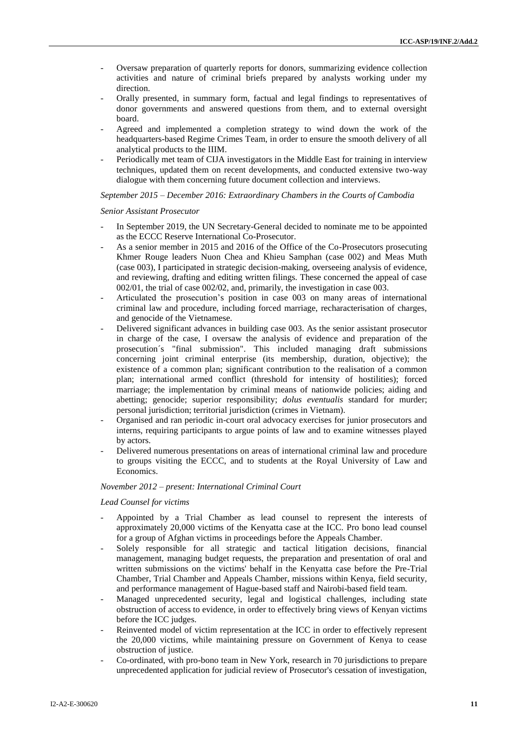- Oversaw preparation of quarterly reports for donors, summarizing evidence collection activities and nature of criminal briefs prepared by analysts working under my direction.
- Orally presented, in summary form, factual and legal findings to representatives of donor governments and answered questions from them, and to external oversight board.
- Agreed and implemented a completion strategy to wind down the work of the headquarters-based Regime Crimes Team, in order to ensure the smooth delivery of all analytical products to the IIIM.
- Periodically met team of CIJA investigators in the Middle East for training in interview techniques, updated them on recent developments, and conducted extensive two-way dialogue with them concerning future document collection and interviews.

#### *September 2015 – December 2016: Extraordinary Chambers in the Courts of Cambodia*

#### *Senior Assistant Prosecutor*

- In September 2019, the UN Secretary-General decided to nominate me to be appointed as the ECCC Reserve International Co-Prosecutor.
- As a senior member in 2015 and 2016 of the Office of the Co-Prosecutors prosecuting Khmer Rouge leaders Nuon Chea and Khieu Samphan (case 002) and Meas Muth (case 003), I participated in strategic decision-making, overseeing analysis of evidence, and reviewing, drafting and editing written filings. These concerned the appeal of case 002/01, the trial of case 002/02, and, primarily, the investigation in case 003.
- Articulated the prosecution's position in case 003 on many areas of international criminal law and procedure, including forced marriage, recharacterisation of charges, and genocide of the Vietnamese.
- Delivered significant advances in building case 003. As the senior assistant prosecutor in charge of the case, I oversaw the analysis of evidence and preparation of the prosecution´s "final submission". This included managing draft submissions concerning joint criminal enterprise (its membership, duration, objective); the existence of a common plan; significant contribution to the realisation of a common plan; international armed conflict (threshold for intensity of hostilities); forced marriage; the implementation by criminal means of nationwide policies; aiding and abetting; genocide; superior responsibility; *dolus eventualis* standard for murder; personal jurisdiction; territorial jurisdiction (crimes in Vietnam).
- Organised and ran periodic in-court oral advocacy exercises for junior prosecutors and interns, requiring participants to argue points of law and to examine witnesses played by actors.
- Delivered numerous presentations on areas of international criminal law and procedure to groups visiting the ECCC, and to students at the Royal University of Law and Economics.

#### *November 2012 – present: International Criminal Court*

#### *Lead Counsel for victims*

- Appointed by a Trial Chamber as lead counsel to represent the interests of approximately 20,000 victims of the Kenyatta case at the ICC. Pro bono lead counsel for a group of Afghan victims in proceedings before the Appeals Chamber.
- Solely responsible for all strategic and tactical litigation decisions, financial management, managing budget requests, the preparation and presentation of oral and written submissions on the victims' behalf in the Kenyatta case before the Pre-Trial Chamber, Trial Chamber and Appeals Chamber, missions within Kenya, field security, and performance management of Hague-based staff and Nairobi-based field team.
- Managed unprecedented security, legal and logistical challenges, including state obstruction of access to evidence, in order to effectively bring views of Kenyan victims before the ICC judges.
- Reinvented model of victim representation at the ICC in order to effectively represent the 20,000 victims, while maintaining pressure on Government of Kenya to cease obstruction of justice.
- Co-ordinated, with pro-bono team in New York, research in 70 jurisdictions to prepare unprecedented application for judicial review of Prosecutor's cessation of investigation,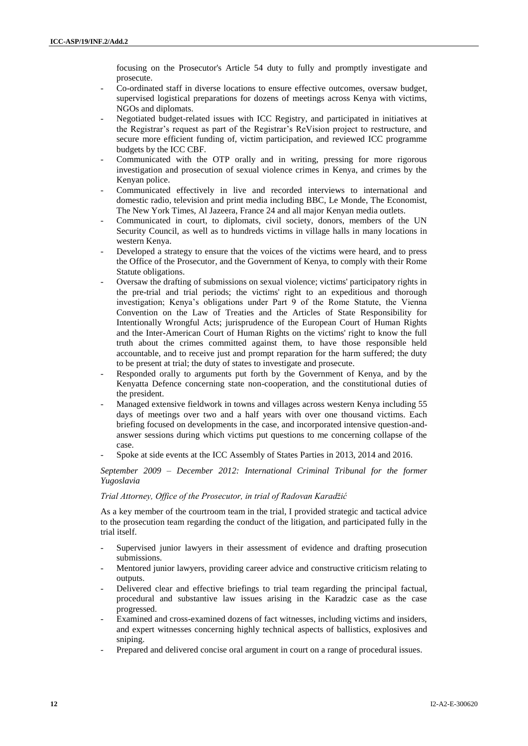focusing on the Prosecutor's Article 54 duty to fully and promptly investigate and prosecute.

- Co-ordinated staff in diverse locations to ensure effective outcomes, oversaw budget, supervised logistical preparations for dozens of meetings across Kenya with victims, NGOs and diplomats.
- Negotiated budget-related issues with ICC Registry, and participated in initiatives at the Registrar's request as part of the Registrar's ReVision project to restructure, and secure more efficient funding of, victim participation, and reviewed ICC programme budgets by the ICC CBF.
- Communicated with the OTP orally and in writing, pressing for more rigorous investigation and prosecution of sexual violence crimes in Kenya, and crimes by the Kenyan police.
- Communicated effectively in live and recorded interviews to international and domestic radio, television and print media including BBC, Le Monde, The Economist, The New York Times, Al Jazeera, France 24 and all major Kenyan media outlets.
- Communicated in court, to diplomats, civil society, donors, members of the UN Security Council, as well as to hundreds victims in village halls in many locations in western Kenya.
- Developed a strategy to ensure that the voices of the victims were heard, and to press the Office of the Prosecutor, and the Government of Kenya, to comply with their Rome Statute obligations.
- Oversaw the drafting of submissions on sexual violence; victims' participatory rights in the pre-trial and trial periods; the victims' right to an expeditious and thorough investigation; Kenya's obligations under Part 9 of the Rome Statute, the Vienna Convention on the Law of Treaties and the Articles of State Responsibility for Intentionally Wrongful Acts; jurisprudence of the European Court of Human Rights and the Inter-American Court of Human Rights on the victims' right to know the full truth about the crimes committed against them, to have those responsible held accountable, and to receive just and prompt reparation for the harm suffered; the duty to be present at trial; the duty of states to investigate and prosecute.
- Responded orally to arguments put forth by the Government of Kenya, and by the Kenyatta Defence concerning state non-cooperation, and the constitutional duties of the president.
- Managed extensive fieldwork in towns and villages across western Kenya including 55 days of meetings over two and a half years with over one thousand victims. Each briefing focused on developments in the case, and incorporated intensive question-andanswer sessions during which victims put questions to me concerning collapse of the case.
- Spoke at side events at the ICC Assembly of States Parties in 2013, 2014 and 2016.

#### *September 2009 – December 2012: International Criminal Tribunal for the former Yugoslavia*

#### *Trial Attorney, Office of the Prosecutor, in trial of Radovan Karadžić*

As a key member of the courtroom team in the trial, I provided strategic and tactical advice to the prosecution team regarding the conduct of the litigation, and participated fully in the trial itself.

- Supervised junior lawyers in their assessment of evidence and drafting prosecution submissions.
- Mentored junior lawyers, providing career advice and constructive criticism relating to outputs.
- Delivered clear and effective briefings to trial team regarding the principal factual, procedural and substantive law issues arising in the Karadzic case as the case progressed.
- Examined and cross-examined dozens of fact witnesses, including victims and insiders, and expert witnesses concerning highly technical aspects of ballistics, explosives and sniping.
- Prepared and delivered concise oral argument in court on a range of procedural issues.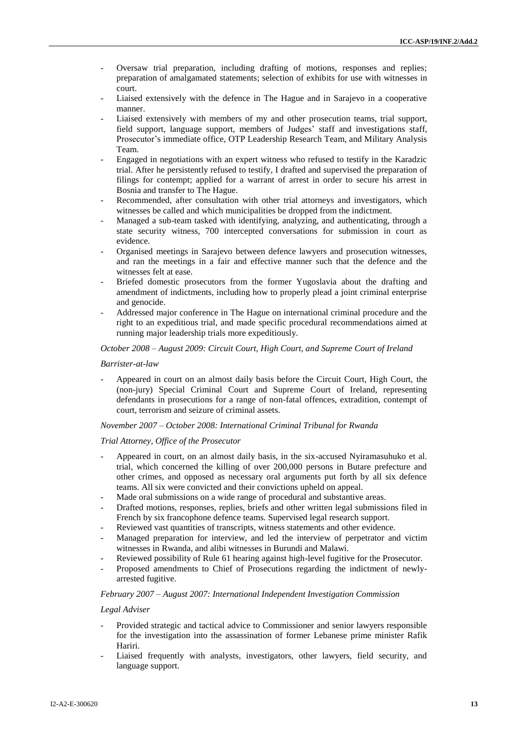- Oversaw trial preparation, including drafting of motions, responses and replies; preparation of amalgamated statements; selection of exhibits for use with witnesses in court.
- Liaised extensively with the defence in The Hague and in Sarajevo in a cooperative manner.
- Liaised extensively with members of my and other prosecution teams, trial support, field support, language support, members of Judges' staff and investigations staff, Prosecutor's immediate office, OTP Leadership Research Team, and Military Analysis Team.
- Engaged in negotiations with an expert witness who refused to testify in the Karadzic trial. After he persistently refused to testify, I drafted and supervised the preparation of filings for contempt; applied for a warrant of arrest in order to secure his arrest in Bosnia and transfer to The Hague.
- Recommended, after consultation with other trial attorneys and investigators, which witnesses be called and which municipalities be dropped from the indictment.
- Managed a sub-team tasked with identifying, analyzing, and authenticating, through a state security witness, 700 intercepted conversations for submission in court as evidence.
- Organised meetings in Sarajevo between defence lawyers and prosecution witnesses, and ran the meetings in a fair and effective manner such that the defence and the witnesses felt at ease.
- Briefed domestic prosecutors from the former Yugoslavia about the drafting and amendment of indictments, including how to properly plead a joint criminal enterprise and genocide.
- Addressed major conference in The Hague on international criminal procedure and the right to an expeditious trial, and made specific procedural recommendations aimed at running major leadership trials more expeditiously.

#### *October 2008 – August 2009: Circuit Court, High Court, and Supreme Court of Ireland*

#### *Barrister-at-law*

- Appeared in court on an almost daily basis before the Circuit Court, High Court, the (non-jury) Special Criminal Court and Supreme Court of Ireland, representing defendants in prosecutions for a range of non-fatal offences, extradition, contempt of court, terrorism and seizure of criminal assets.

#### *November 2007 – October 2008: International Criminal Tribunal for Rwanda*

#### *Trial Attorney, Office of the Prosecutor*

- Appeared in court, on an almost daily basis, in the six-accused Nyiramasuhuko et al. trial, which concerned the killing of over 200,000 persons in Butare prefecture and other crimes, and opposed as necessary oral arguments put forth by all six defence teams. All six were convicted and their convictions upheld on appeal.
- Made oral submissions on a wide range of procedural and substantive areas.
- Drafted motions, responses, replies, briefs and other written legal submissions filed in French by six francophone defence teams. Supervised legal research support.
- Reviewed vast quantities of transcripts, witness statements and other evidence.
- Managed preparation for interview, and led the interview of perpetrator and victim witnesses in Rwanda, and alibi witnesses in Burundi and Malawi.
- Reviewed possibility of Rule 61 hearing against high-level fugitive for the Prosecutor.
- Proposed amendments to Chief of Prosecutions regarding the indictment of newlyarrested fugitive.

#### *February 2007 – August 2007: International Independent Investigation Commission*

#### *Legal Adviser*

- Provided strategic and tactical advice to Commissioner and senior lawyers responsible for the investigation into the assassination of former Lebanese prime minister Rafik Hariri.
- Liaised frequently with analysts, investigators, other lawyers, field security, and language support.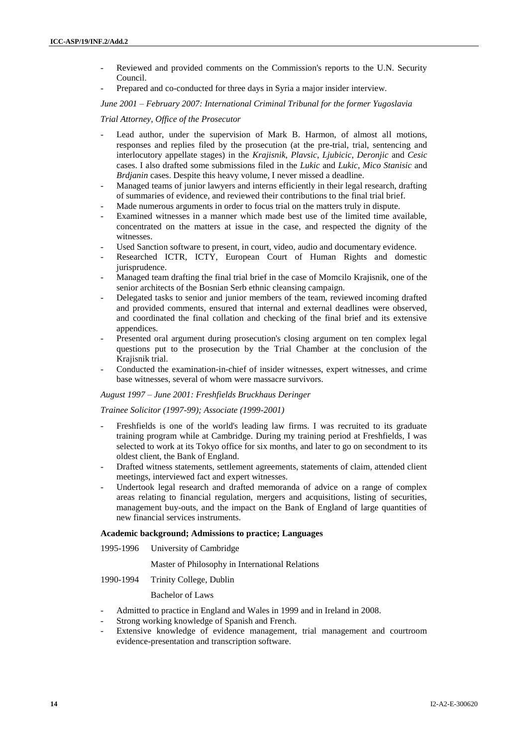- Reviewed and provided comments on the Commission's reports to the U.N. Security Council.
- Prepared and co-conducted for three days in Syria a major insider interview.

*June 2001 – February 2007: International Criminal Tribunal for the former Yugoslavia*

### *Trial Attorney, Office of the Prosecutor*

- Lead author, under the supervision of Mark B. Harmon, of almost all motions, responses and replies filed by the prosecution (at the pre-trial, trial, sentencing and interlocutory appellate stages) in the *Krajisnik*, *Plavsic*, *Ljubicic*, *Deronjic* and *Cesic* cases. I also drafted some submissions filed in the *Lukic* and *Lukic*, *Mico Stanisic* and *Brdjanin* cases. Despite this heavy volume, I never missed a deadline.
- Managed teams of junior lawyers and interns efficiently in their legal research, drafting of summaries of evidence, and reviewed their contributions to the final trial brief.
- Made numerous arguments in order to focus trial on the matters truly in dispute.
- Examined witnesses in a manner which made best use of the limited time available, concentrated on the matters at issue in the case, and respected the dignity of the witnesses.
- Used Sanction software to present, in court, video, audio and documentary evidence.
- Researched ICTR, ICTY, European Court of Human Rights and domestic jurisprudence.
- Managed team drafting the final trial brief in the case of Momcilo Krajisnik, one of the senior architects of the Bosnian Serb ethnic cleansing campaign.
- Delegated tasks to senior and junior members of the team, reviewed incoming drafted and provided comments, ensured that internal and external deadlines were observed, and coordinated the final collation and checking of the final brief and its extensive appendices.
- Presented oral argument during prosecution's closing argument on ten complex legal questions put to the prosecution by the Trial Chamber at the conclusion of the Krajisnik trial.
- Conducted the examination-in-chief of insider witnesses, expert witnesses, and crime base witnesses, several of whom were massacre survivors.

#### *August 1997 – June 2001: Freshfields Bruckhaus Deringer*

#### *Trainee Solicitor (1997-99); Associate (1999-2001)*

- Freshfields is one of the world's leading law firms. I was recruited to its graduate training program while at Cambridge. During my training period at Freshfields, I was selected to work at its Tokyo office for six months, and later to go on secondment to its oldest client, the Bank of England.
- Drafted witness statements, settlement agreements, statements of claim, attended client meetings, interviewed fact and expert witnesses.
- Undertook legal research and drafted memoranda of advice on a range of complex areas relating to financial regulation, mergers and acquisitions, listing of securities, management buy-outs, and the impact on the Bank of England of large quantities of new financial services instruments.

#### **Academic background; Admissions to practice; Languages**

1995-1996 University of Cambridge

Master of Philosophy in International Relations

1990-1994 Trinity College, Dublin

#### Bachelor of Laws

- Admitted to practice in England and Wales in 1999 and in Ireland in 2008.
- Strong working knowledge of Spanish and French.
- Extensive knowledge of evidence management, trial management and courtroom evidence-presentation and transcription software.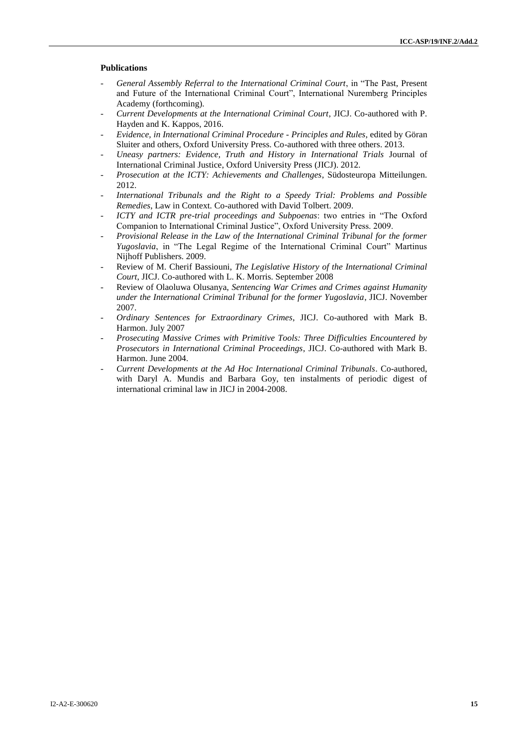#### **Publications**

- *General Assembly Referral to the International Criminal Court*, in "The Past, Present and Future of the International Criminal Court", International Nuremberg Principles Academy (forthcoming).
- *Current Developments at the International Criminal Court*, JICJ. Co-authored with P. Hayden and K. Kappos, 2016.
- *Evidence, in International Criminal Procedure - Principles and Rules*, edited by Göran Sluiter and others, Oxford University Press. Co-authored with three others. 2013.
- *Uneasy partners: Evidence, Truth and History in International Trials* Journal of International Criminal Justice, Oxford University Press (JICJ). 2012.
- *Prosecution at the ICTY: Achievements and Challenges*, Südosteuropa Mitteilungen. 2012.
- *International Tribunals and the Right to a Speedy Trial: Problems and Possible Remedies*, Law in Context. Co-authored with David Tolbert. 2009.
- *ICTY and ICTR pre-trial proceedings and Subpoenas*: two entries in "The Oxford Companion to International Criminal Justice", Oxford University Press. 2009.
- *Provisional Release in the Law of the International Criminal Tribunal for the former Yugoslavia*, in "The Legal Regime of the International Criminal Court" Martinus Nijhoff Publishers. 2009.
- Review of M. Cherif Bassiouni, *The Legislative History of the International Criminal Court*, JICJ. Co-authored with L. K. Morris. September 2008
- Review of Olaoluwa Olusanya, *Sentencing War Crimes and Crimes against Humanity under the International Criminal Tribunal for the former Yugoslavia*, JICJ. November 2007.
- *Ordinary Sentences for Extraordinary Crimes*, JICJ. Co-authored with Mark B. Harmon. July 2007
- *Prosecuting Massive Crimes with Primitive Tools: Three Difficulties Encountered by Prosecutors in International Criminal Proceedings*, JICJ. Co-authored with Mark B. Harmon. June 2004.
- *Current Developments at the Ad Hoc International Criminal Tribunals*. Co-authored, with Daryl A. Mundis and Barbara Goy, ten instalments of periodic digest of international criminal law in JICJ in 2004-2008.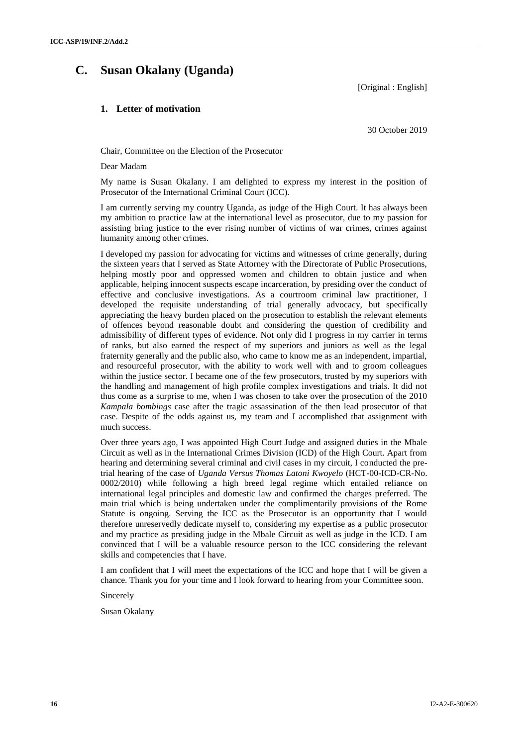## **C. Susan Okalany (Uganda)**

[Original : English]

## **1. Letter of motivation**

30 October 2019

Chair, Committee on the Election of the Prosecutor

Dear Madam

My name is Susan Okalany. I am delighted to express my interest in the position of Prosecutor of the International Criminal Court (ICC).

I am currently serving my country Uganda, as judge of the High Court. It has always been my ambition to practice law at the international level as prosecutor, due to my passion for assisting bring justice to the ever rising number of victims of war crimes, crimes against humanity among other crimes.

I developed my passion for advocating for victims and witnesses of crime generally, during the sixteen years that I served as State Attorney with the Directorate of Public Prosecutions, helping mostly poor and oppressed women and children to obtain justice and when applicable, helping innocent suspects escape incarceration, by presiding over the conduct of effective and conclusive investigations. As a courtroom criminal law practitioner, I developed the requisite understanding of trial generally advocacy, but specifically appreciating the heavy burden placed on the prosecution to establish the relevant elements of offences beyond reasonable doubt and considering the question of credibility and admissibility of different types of evidence. Not only did I progress in my carrier in terms of ranks, but also earned the respect of my superiors and juniors as well as the legal fraternity generally and the public also, who came to know me as an independent, impartial, and resourceful prosecutor, with the ability to work well with and to groom colleagues within the justice sector. I became one of the few prosecutors, trusted by my superiors with the handling and management of high profile complex investigations and trials. It did not thus come as a surprise to me, when I was chosen to take over the prosecution of the 2010 *Kampala bombings* case after the tragic assassination of the then lead prosecutor of that case. Despite of the odds against us, my team and I accomplished that assignment with much success.

Over three years ago, I was appointed High Court Judge and assigned duties in the Mbale Circuit as well as in the International Crimes Division (ICD) of the High Court. Apart from hearing and determining several criminal and civil cases in my circuit, I conducted the pretrial hearing of the case of *Uganda Versus Thomas Latoni Kwoyelo* (HCT-00-ICD-CR-No. 0002/2010) while following a high breed legal regime which entailed reliance on international legal principles and domestic law and confirmed the charges preferred. The main trial which is being undertaken under the complimentarily provisions of the Rome Statute is ongoing. Serving the ICC as the Prosecutor is an opportunity that I would therefore unreservedly dedicate myself to, considering my expertise as a public prosecutor and my practice as presiding judge in the Mbale Circuit as well as judge in the ICD. I am convinced that I will be a valuable resource person to the ICC considering the relevant skills and competencies that I have.

I am confident that I will meet the expectations of the ICC and hope that I will be given a chance. Thank you for your time and I look forward to hearing from your Committee soon.

Sincerely

Susan Okalany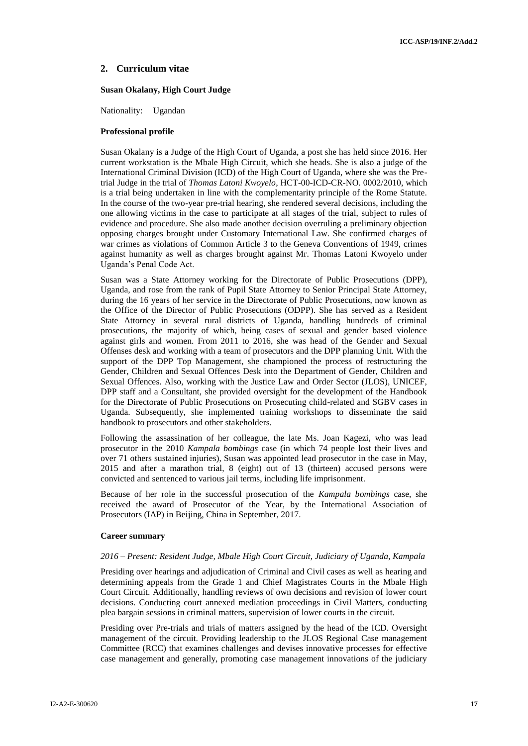## **2. Curriculum vitae**

#### **Susan Okalany, High Court Judge**

Nationality: Ugandan

#### **Professional profile**

Susan Okalany is a Judge of the High Court of Uganda, a post she has held since 2016. Her current workstation is the Mbale High Circuit, which she heads. She is also a judge of the International Criminal Division (ICD) of the High Court of Uganda, where she was the Pretrial Judge in the trial of *Thomas Latoni Kwoyelo*, HCT-00-ICD-CR-NO. 0002/2010, which is a trial being undertaken in line with the complementarity principle of the Rome Statute. In the course of the two-year pre-trial hearing, she rendered several decisions, including the one allowing victims in the case to participate at all stages of the trial, subject to rules of evidence and procedure. She also made another decision overruling a preliminary objection opposing charges brought under Customary International Law. She confirmed charges of war crimes as violations of Common Article 3 to the Geneva Conventions of 1949, crimes against humanity as well as charges brought against Mr. Thomas Latoni Kwoyelo under Uganda's Penal Code Act.

Susan was a State Attorney working for the Directorate of Public Prosecutions (DPP), Uganda, and rose from the rank of Pupil State Attorney to Senior Principal State Attorney, during the 16 years of her service in the Directorate of Public Prosecutions, now known as the Office of the Director of Public Prosecutions (ODPP). She has served as a Resident State Attorney in several rural districts of Uganda, handling hundreds of criminal prosecutions, the majority of which, being cases of sexual and gender based violence against girls and women. From 2011 to 2016, she was head of the Gender and Sexual Offenses desk and working with a team of prosecutors and the DPP planning Unit. With the support of the DPP Top Management, she championed the process of restructuring the Gender, Children and Sexual Offences Desk into the Department of Gender, Children and Sexual Offences. Also, working with the Justice Law and Order Sector (JLOS), UNICEF, DPP staff and a Consultant, she provided oversight for the development of the Handbook for the Directorate of Public Prosecutions on Prosecuting child-related and SGBV cases in Uganda. Subsequently, she implemented training workshops to disseminate the said handbook to prosecutors and other stakeholders.

Following the assassination of her colleague, the late Ms. Joan Kagezi, who was lead prosecutor in the 2010 *Kampala bombings* case (in which 74 people lost their lives and over 71 others sustained injuries), Susan was appointed lead prosecutor in the case in May, 2015 and after a marathon trial, 8 (eight) out of 13 (thirteen) accused persons were convicted and sentenced to various jail terms, including life imprisonment.

Because of her role in the successful prosecution of the *Kampala bombings* case, she received the award of Prosecutor of the Year, by the International Association of Prosecutors (IAP) in Beijing, China in September, 2017.

#### **Career summary**

#### *2016 – Present: Resident Judge, Mbale High Court Circuit, Judiciary of Uganda, Kampala*

Presiding over hearings and adjudication of Criminal and Civil cases as well as hearing and determining appeals from the Grade 1 and Chief Magistrates Courts in the Mbale High Court Circuit. Additionally, handling reviews of own decisions and revision of lower court decisions. Conducting court annexed mediation proceedings in Civil Matters, conducting plea bargain sessions in criminal matters, supervision of lower courts in the circuit.

Presiding over Pre-trials and trials of matters assigned by the head of the ICD. Oversight management of the circuit. Providing leadership to the JLOS Regional Case management Committee (RCC) that examines challenges and devises innovative processes for effective case management and generally, promoting case management innovations of the judiciary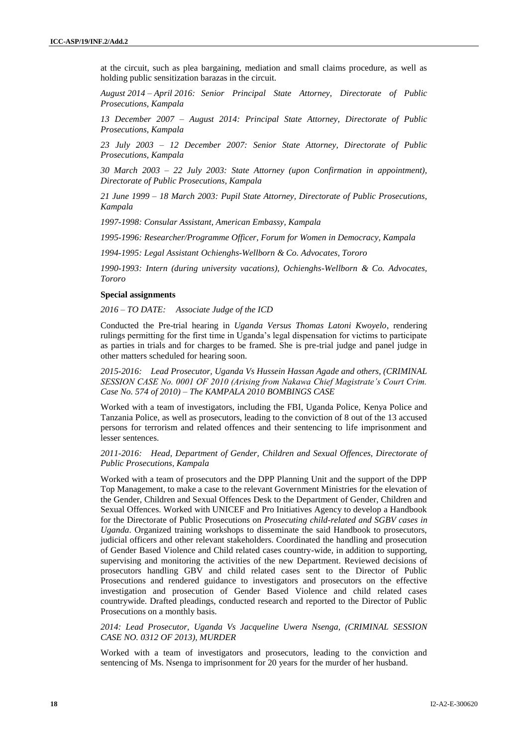at the circuit, such as plea bargaining, mediation and small claims procedure, as well as holding public sensitization barazas in the circuit.

*August 2014 – April 2016: Senior Principal State Attorney, Directorate of Public Prosecutions, Kampala*

*13 December 2007 – August 2014: Principal State Attorney, Directorate of Public Prosecutions, Kampala*

*23 July 2003 – 12 December 2007: Senior State Attorney, Directorate of Public Prosecutions, Kampala*

*30 March 2003 – 22 July 2003: State Attorney (upon Confirmation in appointment), Directorate of Public Prosecutions, Kampala*

*21 June 1999 – 18 March 2003: Pupil State Attorney, Directorate of Public Prosecutions, Kampala*

*1997-1998: Consular Assistant, American Embassy, Kampala*

*1995-1996: Researcher/Programme Officer, Forum for Women in Democracy, Kampala*

*1994-1995: Legal Assistant Ochienghs-Wellborn & Co. Advocates, Tororo*

*1990-1993: Intern (during university vacations), Ochienghs-Wellborn & Co. Advocates, Tororo*

#### **Special assignments**

*2016 – TO DATE: Associate Judge of the ICD*

Conducted the Pre-trial hearing in *Uganda Versus Thomas Latoni Kwoyelo*, rendering rulings permitting for the first time in Uganda's legal dispensation for victims to participate as parties in trials and for charges to be framed. She is pre-trial judge and panel judge in other matters scheduled for hearing soon.

*2015-2016: Lead Prosecutor, Uganda Vs Hussein Hassan Agade and others, (CRIMINAL SESSION CASE No. 0001 OF 2010 (Arising from Nakawa Chief Magistrate's Court Crim. Case No. 574 of 2010) – The KAMPALA 2010 BOMBINGS CASE*

Worked with a team of investigators, including the FBI, Uganda Police, Kenya Police and Tanzania Police, as well as prosecutors, leading to the conviction of 8 out of the 13 accused persons for terrorism and related offences and their sentencing to life imprisonment and lesser sentences.

*2011-2016: Head, Department of Gender, Children and Sexual Offences, Directorate of Public Prosecutions, Kampala* 

Worked with a team of prosecutors and the DPP Planning Unit and the support of the DPP Top Management, to make a case to the relevant Government Ministries for the elevation of the Gender, Children and Sexual Offences Desk to the Department of Gender, Children and Sexual Offences. Worked with UNICEF and Pro Initiatives Agency to develop a Handbook for the Directorate of Public Prosecutions on *Prosecuting child-related and SGBV cases in Uganda*. Organized training workshops to disseminate the said Handbook to prosecutors, judicial officers and other relevant stakeholders. Coordinated the handling and prosecution of Gender Based Violence and Child related cases country-wide, in addition to supporting, supervising and monitoring the activities of the new Department. Reviewed decisions of prosecutors handling GBV and child related cases sent to the Director of Public Prosecutions and rendered guidance to investigators and prosecutors on the effective investigation and prosecution of Gender Based Violence and child related cases countrywide. Drafted pleadings, conducted research and reported to the Director of Public Prosecutions on a monthly basis.

#### *2014: Lead Prosecutor, Uganda Vs Jacqueline Uwera Nsenga, (CRIMINAL SESSION CASE NO. 0312 OF 2013), MURDER*

Worked with a team of investigators and prosecutors, leading to the conviction and sentencing of Ms. Nsenga to imprisonment for 20 years for the murder of her husband.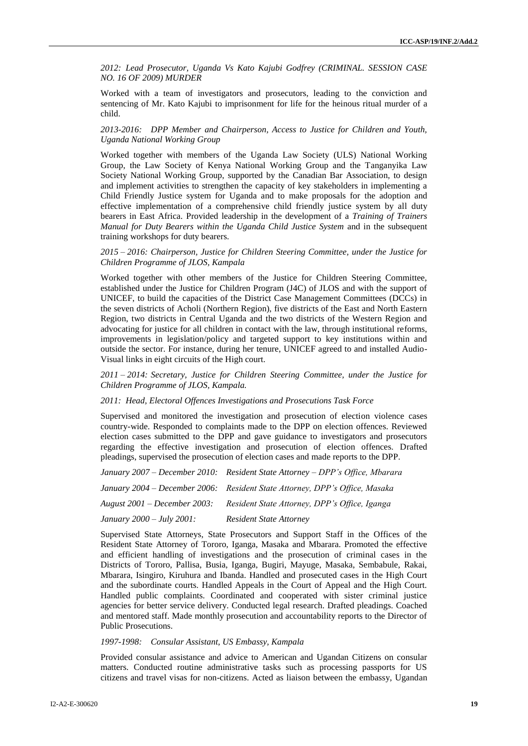*2012: Lead Prosecutor, Uganda Vs Kato Kajubi Godfrey (CRIMINAL. SESSION CASE NO. 16 OF 2009) MURDER*

Worked with a team of investigators and prosecutors, leading to the conviction and sentencing of Mr. Kato Kajubi to imprisonment for life for the heinous ritual murder of a child.

#### *2013-2016: DPP Member and Chairperson, Access to Justice for Children and Youth, Uganda National Working Group*

Worked together with members of the Uganda Law Society (ULS) National Working Group, the Law Society of Kenya National Working Group and the Tanganyika Law Society National Working Group, supported by the Canadian Bar Association, to design and implement activities to strengthen the capacity of key stakeholders in implementing a Child Friendly Justice system for Uganda and to make proposals for the adoption and effective implementation of a comprehensive child friendly justice system by all duty bearers in East Africa. Provided leadership in the development of a *Training of Trainers Manual for Duty Bearers within the Uganda Child Justice System* and in the subsequent training workshops for duty bearers.

#### *2015 – 2016: Chairperson, Justice for Children Steering Committee, under the Justice for Children Programme of JLOS, Kampala*

Worked together with other members of the Justice for Children Steering Committee, established under the Justice for Children Program (J4C) of JLOS and with the support of UNICEF, to build the capacities of the District Case Management Committees (DCCs) in the seven districts of Acholi (Northern Region), five districts of the East and North Eastern Region, two districts in Central Uganda and the two districts of the Western Region and advocating for justice for all children in contact with the law, through institutional reforms, improvements in legislation/policy and targeted support to key institutions within and outside the sector. For instance, during her tenure, UNICEF agreed to and installed Audio-Visual links in eight circuits of the High court.

*2011 – 2014: Secretary, Justice for Children Steering Committee, under the Justice for Children Programme of JLOS, Kampala.*

#### *2011: Head, Electoral Offences Investigations and Prosecutions Task Force*

Supervised and monitored the investigation and prosecution of election violence cases country-wide. Responded to complaints made to the DPP on election offences. Reviewed election cases submitted to the DPP and gave guidance to investigators and prosecutors regarding the effective investigation and prosecution of election offences. Drafted pleadings, supervised the prosecution of election cases and made reports to the DPP.

|                                     | January 2007 – December 2010: Resident State Attorney – DPP's Office, Mbarara |
|-------------------------------------|-------------------------------------------------------------------------------|
|                                     | January 2004 – December 2006: Resident State Attorney, DPP's Office, Masaka   |
| August 2001 – December 2003:        | Resident State Attorney, DPP's Office, Iganga                                 |
| <i>January</i> $2000 - July 2001$ : | <b>Resident State Attorney</b>                                                |

Supervised State Attorneys, State Prosecutors and Support Staff in the Offices of the Resident State Attorney of Tororo, Iganga, Masaka and Mbarara. Promoted the effective and efficient handling of investigations and the prosecution of criminal cases in the Districts of Tororo, Pallisa, Busia, Iganga, Bugiri, Mayuge, Masaka, Sembabule, Rakai, Mbarara, Isingiro, Kiruhura and Ibanda. Handled and prosecuted cases in the High Court and the subordinate courts. Handled Appeals in the Court of Appeal and the High Court. Handled public complaints. Coordinated and cooperated with sister criminal justice agencies for better service delivery. Conducted legal research. Drafted pleadings. Coached and mentored staff. Made monthly prosecution and accountability reports to the Director of Public Prosecutions.

#### *1997-1998: Consular Assistant, US Embassy, Kampala*

Provided consular assistance and advice to American and Ugandan Citizens on consular matters. Conducted routine administrative tasks such as processing passports for US citizens and travel visas for non-citizens. Acted as liaison between the embassy, Ugandan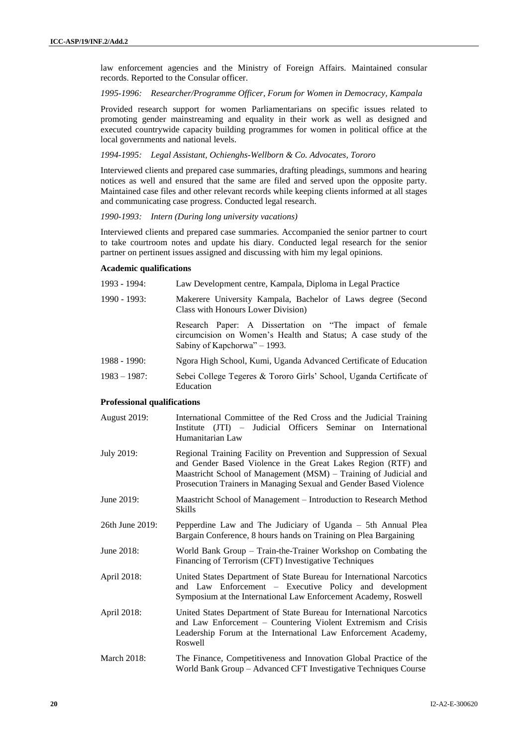law enforcement agencies and the Ministry of Foreign Affairs. Maintained consular records. Reported to the Consular officer.

#### *1995-1996: Researcher/Programme Officer, Forum for Women in Democracy, Kampala*

Provided research support for women Parliamentarians on specific issues related to promoting gender mainstreaming and equality in their work as well as designed and executed countrywide capacity building programmes for women in political office at the local governments and national levels.

*1994-1995: Legal Assistant, Ochienghs-Wellborn & Co. Advocates, Tororo*

Interviewed clients and prepared case summaries, drafting pleadings, summons and hearing notices as well and ensured that the same are filed and served upon the opposite party. Maintained case files and other relevant records while keeping clients informed at all stages and communicating case progress. Conducted legal research.

#### *1990-1993: Intern (During long university vacations)*

Interviewed clients and prepared case summaries. Accompanied the senior partner to court to take courtroom notes and update his diary. Conducted legal research for the senior partner on pertinent issues assigned and discussing with him my legal opinions.

#### **Academic qualifications**

| $1993 - 1994$ : | Law Development centre, Kampala, Diploma in Legal Practice                                                                                                 |
|-----------------|------------------------------------------------------------------------------------------------------------------------------------------------------------|
| $1990 - 1993$ : | Makerere University Kampala, Bachelor of Laws degree (Second<br>Class with Honours Lower Division)                                                         |
|                 | Research Paper: A Dissertation on "The impact of female"<br>circumcision on Women's Health and Status; A case study of the<br>Sabiny of Kapchorwa" – 1993. |
| $1988 - 1990$ : | Ngora High School, Kumi, Uganda Advanced Certificate of Education                                                                                          |
| $1983 - 1987$ : | Sebei College Tegeres & Tororo Girls' School, Uganda Certificate of<br>Education                                                                           |

#### **Professional qualifications**

| <b>August 2019:</b> | International Committee of the Red Cross and the Judicial Training<br>Institute (JTI) – Judicial Officers Seminar on International<br>Humanitarian Law                                                                                                                       |
|---------------------|------------------------------------------------------------------------------------------------------------------------------------------------------------------------------------------------------------------------------------------------------------------------------|
| July 2019:          | Regional Training Facility on Prevention and Suppression of Sexual<br>and Gender Based Violence in the Great Lakes Region (RTF) and<br>Maastricht School of Management (MSM) – Training of Judicial and<br>Prosecution Trainers in Managing Sexual and Gender Based Violence |
| June 2019:          | Maastricht School of Management – Introduction to Research Method<br>Skills                                                                                                                                                                                                  |
| 26th June 2019:     | Pepperdine Law and The Judiciary of Uganda – 5th Annual Plea<br>Bargain Conference, 8 hours hands on Training on Plea Bargaining                                                                                                                                             |
| June 2018:          | World Bank Group - Train-the-Trainer Workshop on Combating the<br>Financing of Terrorism (CFT) Investigative Techniques                                                                                                                                                      |
| April 2018:         | United States Department of State Bureau for International Narcotics<br>and Law Enforcement – Executive Policy and development<br>Symposium at the International Law Enforcement Academy, Roswell                                                                            |
| April 2018:         | United States Department of State Bureau for International Narcotics<br>and Law Enforcement – Countering Violent Extremism and Crisis<br>Leadership Forum at the International Law Enforcement Academy,<br>Roswell                                                           |
| <b>March 2018:</b>  | The Finance, Competitiveness and Innovation Global Practice of the                                                                                                                                                                                                           |

World Bank Group – Advanced CFT Investigative Techniques Course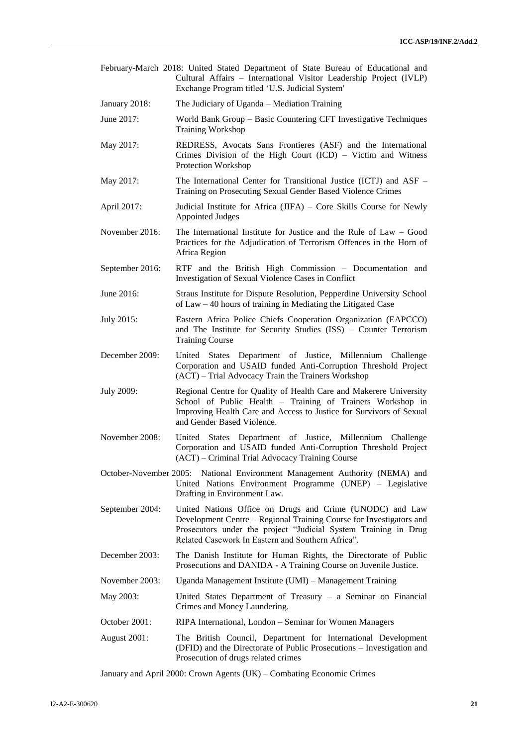- February-March 2018: United Stated Department of State Bureau of Educational and Cultural Affairs – International Visitor Leadership Project (IVLP) Exchange Program titled 'U.S. Judicial System'
- January 2018: The Judiciary of Uganda Mediation Training
- June 2017: World Bank Group Basic Countering CFT Investigative Techniques Training Workshop
- May 2017: REDRESS, Avocats Sans Frontieres (ASF) and the International Crimes Division of the High Court (ICD) – Victim and Witness Protection Workshop
- May 2017: The International Center for Transitional Justice (ICTJ) and ASF Training on Prosecuting Sexual Gender Based Violence Crimes
- April 2017: Judicial Institute for Africa (JIFA) Core Skills Course for Newly Appointed Judges
- November 2016: The International Institute for Justice and the Rule of Law Good Practices for the Adjudication of Terrorism Offences in the Horn of Africa Region
- September 2016: RTF and the British High Commission Documentation and Investigation of Sexual Violence Cases in Conflict
- June 2016: Straus Institute for Dispute Resolution, Pepperdine University School of Law – 40 hours of training in Mediating the Litigated Case
- July 2015: Eastern Africa Police Chiefs Cooperation Organization (EAPCCO) and The Institute for Security Studies (ISS) – Counter Terrorism Training Course
- December 2009: United States Department of Justice, Millennium Challenge Corporation and USAID funded Anti-Corruption Threshold Project (ACT) – Trial Advocacy Train the Trainers Workshop
- July 2009: Regional Centre for Quality of Health Care and Makerere University School of Public Health – Training of Trainers Workshop in Improving Health Care and Access to Justice for Survivors of Sexual and Gender Based Violence.
- November 2008: United States Department of Justice, Millennium Challenge Corporation and USAID funded Anti-Corruption Threshold Project (ACT) – Criminal Trial Advocacy Training Course
- October-November 2005: National Environment Management Authority (NEMA) and United Nations Environment Programme (UNEP) – Legislative Drafting in Environment Law.
- September 2004: United Nations Office on Drugs and Crime (UNODC) and Law Development Centre – Regional Training Course for Investigators and Prosecutors under the project "Judicial System Training in Drug Related Casework In Eastern and Southern Africa".
- December 2003: The Danish Institute for Human Rights, the Directorate of Public Prosecutions and DANIDA - A Training Course on Juvenile Justice.
- November 2003: Uganda Management Institute (UMI) Management Training
- May 2003: United States Department of Treasury a Seminar on Financial Crimes and Money Laundering.
- October 2001: RIPA International, London Seminar for Women Managers
- August 2001: The British Council, Department for International Development (DFID) and the Directorate of Public Prosecutions – Investigation and Prosecution of drugs related crimes

January and April 2000: Crown Agents (UK) – Combating Economic Crimes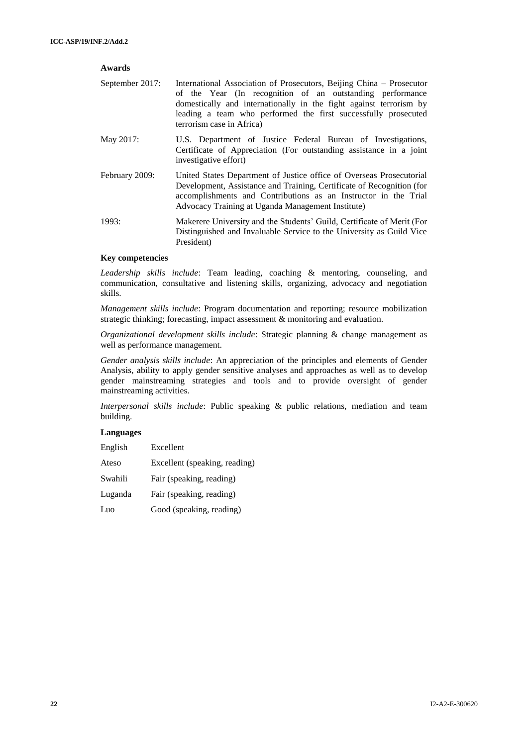| Awards                                                           |                                                                                                                                                                                                                                                                                                        |
|------------------------------------------------------------------|--------------------------------------------------------------------------------------------------------------------------------------------------------------------------------------------------------------------------------------------------------------------------------------------------------|
| September 2017:                                                  | International Association of Prosecutors, Beijing China – Prosecutor<br>of the Year (In recognition of an outstanding performance<br>domestically and internationally in the fight against terrorism by<br>leading a team who performed the first successfully prosecuted<br>terrorism case in Africa) |
| May 2017:                                                        | U.S. Department of Justice Federal Bureau of Investigations,<br>Certificate of Appreciation (For outstanding assistance in a joint<br>investigative effort)                                                                                                                                            |
| February 2009:                                                   | United States Department of Justice office of Overseas Prosecutorial<br>Development, Assistance and Training, Certificate of Recognition (for<br>accomplishments and Contributions as an Instructor in the Trial<br>Advocacy Training at Uganda Management Institute)                                  |
| 1993:                                                            | Makerere University and the Students' Guild, Certificate of Merit (For<br>Distinguished and Invaluable Service to the University as Guild Vice<br>President)                                                                                                                                           |
| $\mathbf{r}$ $\mathbf{r}$ $\mathbf{r}$ $\mathbf{r}$ $\mathbf{r}$ |                                                                                                                                                                                                                                                                                                        |

### **Key competencies**

*Leadership skills include*: Team leading, coaching & mentoring, counseling, and communication, consultative and listening skills, organizing, advocacy and negotiation skills.

*Management skills include*: Program documentation and reporting; resource mobilization strategic thinking; forecasting, impact assessment & monitoring and evaluation.

*Organizational development skills include*: Strategic planning & change management as well as performance management.

*Gender analysis skills include*: An appreciation of the principles and elements of Gender Analysis, ability to apply gender sensitive analyses and approaches as well as to develop gender mainstreaming strategies and tools and to provide oversight of gender mainstreaming activities.

*Interpersonal skills include*: Public speaking & public relations, mediation and team building.

## **Languages**

| English | Excellent                     |
|---------|-------------------------------|
| Ateso   | Excellent (speaking, reading) |
| Swahili | Fair (speaking, reading)      |
| Luganda | Fair (speaking, reading)      |
| Luo     | Good (speaking, reading)      |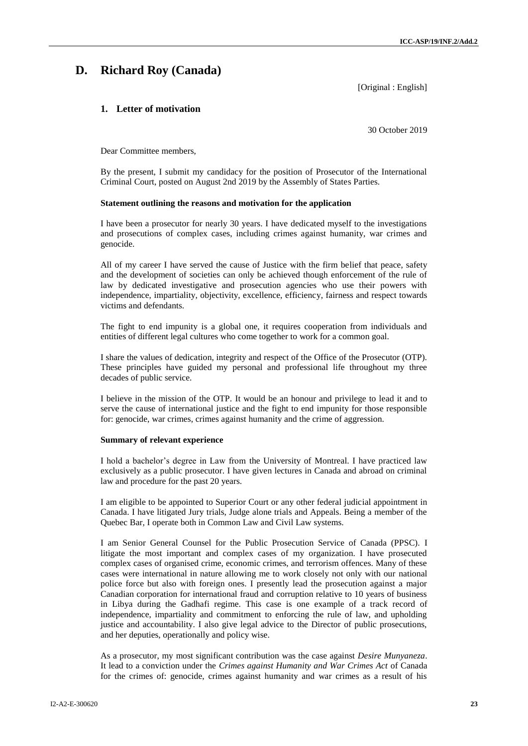## **D. Richard Roy (Canada)**

[Original : English]

## **1. Letter of motivation**

30 October 2019

Dear Committee members,

By the present, I submit my candidacy for the position of Prosecutor of the International Criminal Court, posted on August 2nd 2019 by the Assembly of States Parties.

#### **Statement outlining the reasons and motivation for the application**

I have been a prosecutor for nearly 30 years. I have dedicated myself to the investigations and prosecutions of complex cases, including crimes against humanity, war crimes and genocide.

All of my career I have served the cause of Justice with the firm belief that peace, safety and the development of societies can only be achieved though enforcement of the rule of law by dedicated investigative and prosecution agencies who use their powers with independence, impartiality, objectivity, excellence, efficiency, fairness and respect towards victims and defendants.

The fight to end impunity is a global one, it requires cooperation from individuals and entities of different legal cultures who come together to work for a common goal.

I share the values of dedication, integrity and respect of the Office of the Prosecutor (OTP). These principles have guided my personal and professional life throughout my three decades of public service.

I believe in the mission of the OTP. It would be an honour and privilege to lead it and to serve the cause of international justice and the fight to end impunity for those responsible for: genocide, war crimes, crimes against humanity and the crime of aggression.

#### **Summary of relevant experience**

I hold a bachelor's degree in Law from the University of Montreal. I have practiced law exclusively as a public prosecutor. I have given lectures in Canada and abroad on criminal law and procedure for the past 20 years.

I am eligible to be appointed to Superior Court or any other federal judicial appointment in Canada. I have litigated Jury trials, Judge alone trials and Appeals. Being a member of the Quebec Bar, I operate both in Common Law and Civil Law systems.

I am Senior General Counsel for the Public Prosecution Service of Canada (PPSC). I litigate the most important and complex cases of my organization. I have prosecuted complex cases of organised crime, economic crimes, and terrorism offences. Many of these cases were international in nature allowing me to work closely not only with our national police force but also with foreign ones. I presently lead the prosecution against a major Canadian corporation for international fraud and corruption relative to 10 years of business in Libya during the Gadhafi regime. This case is one example of a track record of independence, impartiality and commitment to enforcing the rule of law, and upholding justice and accountability. I also give legal advice to the Director of public prosecutions, and her deputies, operationally and policy wise.

As a prosecutor, my most significant contribution was the case against *Desire Munyaneza*. It lead to a conviction under the *Crimes against Humanity and War Crimes Act* of Canada for the crimes of: genocide, crimes against humanity and war crimes as a result of his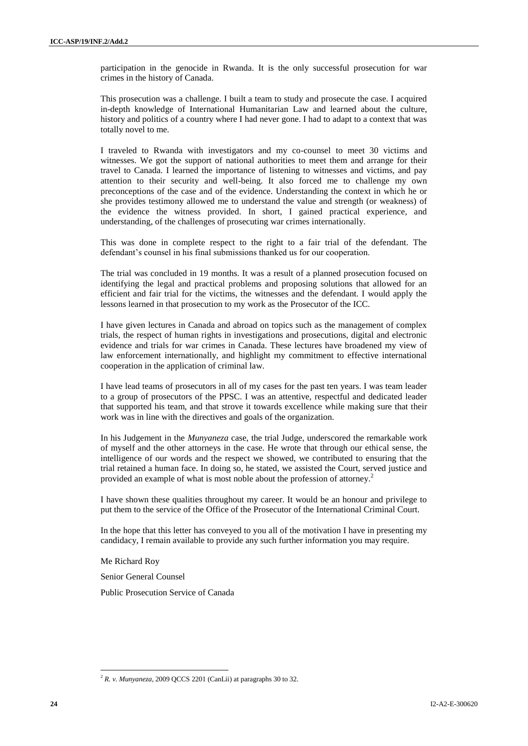participation in the genocide in Rwanda. It is the only successful prosecution for war crimes in the history of Canada.

This prosecution was a challenge. I built a team to study and prosecute the case. I acquired in-depth knowledge of International Humanitarian Law and learned about the culture, history and politics of a country where I had never gone. I had to adapt to a context that was totally novel to me.

I traveled to Rwanda with investigators and my co-counsel to meet 30 victims and witnesses. We got the support of national authorities to meet them and arrange for their travel to Canada. I learned the importance of listening to witnesses and victims, and pay attention to their security and well-being. It also forced me to challenge my own preconceptions of the case and of the evidence. Understanding the context in which he or she provides testimony allowed me to understand the value and strength (or weakness) of the evidence the witness provided. In short, I gained practical experience, and understanding, of the challenges of prosecuting war crimes internationally.

This was done in complete respect to the right to a fair trial of the defendant. The defendant's counsel in his final submissions thanked us for our cooperation.

The trial was concluded in 19 months. It was a result of a planned prosecution focused on identifying the legal and practical problems and proposing solutions that allowed for an efficient and fair trial for the victims, the witnesses and the defendant. I would apply the lessons learned in that prosecution to my work as the Prosecutor of the ICC.

I have given lectures in Canada and abroad on topics such as the management of complex trials, the respect of human rights in investigations and prosecutions, digital and electronic evidence and trials for war crimes in Canada. These lectures have broadened my view of law enforcement internationally, and highlight my commitment to effective international cooperation in the application of criminal law.

I have lead teams of prosecutors in all of my cases for the past ten years. I was team leader to a group of prosecutors of the PPSC. I was an attentive, respectful and dedicated leader that supported his team, and that strove it towards excellence while making sure that their work was in line with the directives and goals of the organization.

In his Judgement in the *Munyaneza* case, the trial Judge, underscored the remarkable work of myself and the other attorneys in the case. He wrote that through our ethical sense, the intelligence of our words and the respect we showed, we contributed to ensuring that the trial retained a human face. In doing so, he stated, we assisted the Court, served justice and provided an example of what is most noble about the profession of attorney.<sup>2</sup>

I have shown these qualities throughout my career. It would be an honour and privilege to put them to the service of the Office of the Prosecutor of the International Criminal Court.

In the hope that this letter has conveyed to you all of the motivation I have in presenting my candidacy, I remain available to provide any such further information you may require.

Me Richard Roy

 $\overline{\phantom{a}}$ 

Senior General Counsel

Public Prosecution Service of Canada

 $^{2}$  *R. v. Munyaneza*, 2009 QCCS 2201 (CanLii) at paragraphs 30 to 32.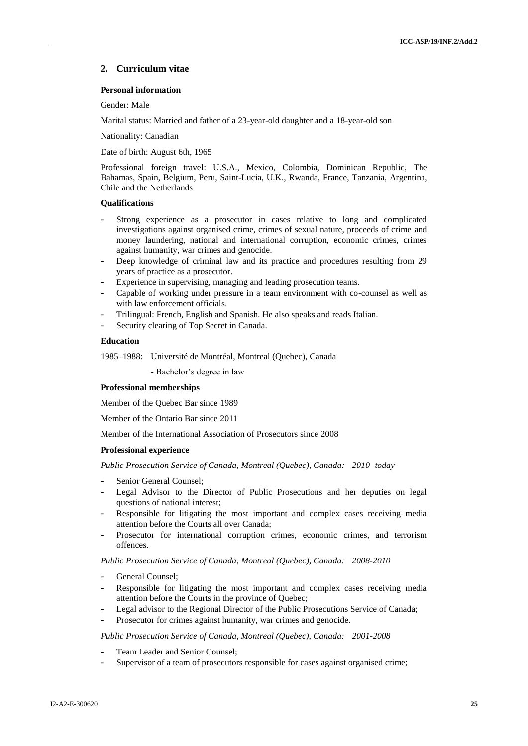## **2. Curriculum vitae**

## **Personal information**

Gender: Male

Marital status: Married and father of a 23-year-old daughter and a 18-year-old son

Nationality: Canadian

Date of birth: August 6th, 1965

Professional foreign travel: U.S.A., Mexico, Colombia, Dominican Republic, The Bahamas, Spain, Belgium, Peru, Saint-Lucia, U.K., Rwanda, France, Tanzania, Argentina, Chile and the Netherlands

#### **Qualifications**

- Strong experience as a prosecutor in cases relative to long and complicated investigations against organised crime, crimes of sexual nature, proceeds of crime and money laundering, national and international corruption, economic crimes, crimes against humanity, war crimes and genocide.
- Deep knowledge of criminal law and its practice and procedures resulting from 29 years of practice as a prosecutor.
- Experience in supervising, managing and leading prosecution teams.
- Capable of working under pressure in a team environment with co-counsel as well as with law enforcement officials.
- Trilingual: French, English and Spanish. He also speaks and reads Italian.
- Security clearing of Top Secret in Canada.

#### **Education**

1985–1988: Université de Montréal, Montreal (Quebec), Canada

**-** Bachelor's degree in law

#### **Professional memberships**

Member of the Quebec Bar since 1989

Member of the Ontario Bar since 2011

Member of the International Association of Prosecutors since 2008

#### **Professional experience**

*Public Prosecution Service of Canada, Montreal (Quebec), Canada: 2010- today*

- Senior General Counsel;
- Legal Advisor to the Director of Public Prosecutions and her deputies on legal questions of national interest;
- Responsible for litigating the most important and complex cases receiving media attention before the Courts all over Canada;
- Prosecutor for international corruption crimes, economic crimes, and terrorism offences.

*Public Prosecution Service of Canada, Montreal (Quebec), Canada: 2008-2010*

- General Counsel;
- Responsible for litigating the most important and complex cases receiving media attention before the Courts in the province of Quebec;
- Legal advisor to the Regional Director of the Public Prosecutions Service of Canada;
- Prosecutor for crimes against humanity, war crimes and genocide.

*Public Prosecution Service of Canada, Montreal (Quebec), Canada: 2001-2008*

- Team Leader and Senior Counsel;
- Supervisor of a team of prosecutors responsible for cases against organised crime;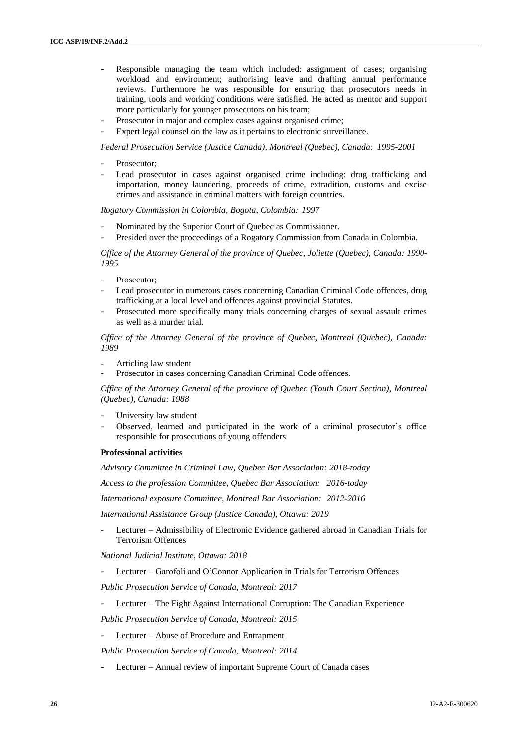- Responsible managing the team which included: assignment of cases; organising workload and environment; authorising leave and drafting annual performance reviews. Furthermore he was responsible for ensuring that prosecutors needs in training, tools and working conditions were satisfied. He acted as mentor and support more particularly for younger prosecutors on his team;
- Prosecutor in major and complex cases against organised crime;
- Expert legal counsel on the law as it pertains to electronic surveillance.

*Federal Prosecution Service (Justice Canada), Montreal (Quebec), Canada: 1995-2001*

- Prosecutor:
- Lead prosecutor in cases against organised crime including: drug trafficking and importation, money laundering, proceeds of crime, extradition, customs and excise crimes and assistance in criminal matters with foreign countries.

*Rogatory Commission in Colombia, Bogota, Colombia: 1997*

- Nominated by the Superior Court of Ouebec as Commissioner.
- Presided over the proceedings of a Rogatory Commission from Canada in Colombia.

*Office of the Attorney General of the province of Quebec, Joliette (Quebec), Canada: 1990- 1995*

- Prosecutor:
- Lead prosecutor in numerous cases concerning Canadian Criminal Code offences, drug trafficking at a local level and offences against provincial Statutes.
- Prosecuted more specifically many trials concerning charges of sexual assault crimes as well as a murder trial.

*Office of the Attorney General of the province of Quebec, Montreal (Quebec), Canada: 1989*

- Articling law student
- Prosecutor in cases concerning Canadian Criminal Code offences.

*Office of the Attorney General of the province of Quebec (Youth Court Section), Montreal (Quebec), Canada: 1988*

- University law student
- Observed, learned and participated in the work of a criminal prosecutor's office responsible for prosecutions of young offenders

#### **Professional activities**

*Advisory Committee in Criminal Law, Quebec Bar Association: 2018-today*

*Access to the profession Committee, Quebec Bar Association: 2016-today*

*International exposure Committee, Montreal Bar Association: 2012-2016*

*International Assistance Group (Justice Canada), Ottawa: 2019*

- Lecturer – Admissibility of Electronic Evidence gathered abroad in Canadian Trials for Terrorism Offences

*National Judicial Institute, Ottawa: 2018*

Lecturer – Garofoli and O'Connor Application in Trials for Terrorism Offences

*Public Prosecution Service of Canada, Montreal: 2017*

- Lecturer – The Fight Against International Corruption: The Canadian Experience

*Public Prosecution Service of Canada, Montreal: 2015* 

- Lecturer Abuse of Procedure and Entrapment
- *Public Prosecution Service of Canada, Montreal: 2014*
- Lecturer Annual review of important Supreme Court of Canada cases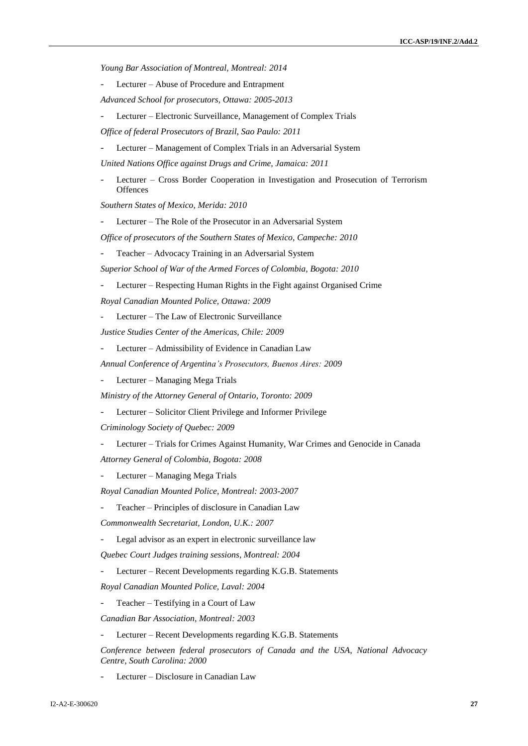*Young Bar Association of Montreal, Montreal: 2014*

- Lecturer Abuse of Procedure and Entrapment
- *Advanced School for prosecutors, Ottawa: 2005-2013*
- Lecturer Electronic Surveillance, Management of Complex Trials

*Office of federal Prosecutors of Brazil, Sao Paulo: 2011*

- Lecturer – Management of Complex Trials in an Adversarial System

*United Nations Office against Drugs and Crime, Jamaica: 2011*

Lecturer – Cross Border Cooperation in Investigation and Prosecution of Terrorism **Offences** 

*Southern States of Mexico, Merida: 2010*

Lecturer – The Role of the Prosecutor in an Adversarial System

*Office of prosecutors of the Southern States of Mexico, Campeche: 2010* 

Teacher – Advocacy Training in an Adversarial System

*Superior School of War of the Armed Forces of Colombia, Bogota: 2010*

Lecturer – Respecting Human Rights in the Fight against Organised Crime

*Royal Canadian Mounted Police, Ottawa: 2009*

Lecturer – The Law of Electronic Surveillance

*Justice Studies Center of the Americas, Chile: 2009* 

Lecturer – Admissibility of Evidence in Canadian Law

*Annual Conference of Argentina's Prosecutors, Buenos Aires: 2009*

- Lecturer – Managing Mega Trials

*Ministry of the Attorney General of Ontario, Toronto: 2009* 

- Lecturer – Solicitor Client Privilege and Informer Privilege

*Criminology Society of Quebec: 2009*

- Lecturer – Trials for Crimes Against Humanity, War Crimes and Genocide in Canada

*Attorney General of Colombia, Bogota: 2008*

Lecturer – Managing Mega Trials

*Royal Canadian Mounted Police, Montreal: 2003-2007* 

Teacher – Principles of disclosure in Canadian Law

*Commonwealth Secretariat, London, U.K.: 2007*

Legal advisor as an expert in electronic surveillance law

*Quebec Court Judges training sessions, Montreal: 2004*

- Lecturer – Recent Developments regarding K.G.B. Statements

*Royal Canadian Mounted Police, Laval: 2004*

- Teacher – Testifying in a Court of Law

*Canadian Bar Association, Montreal: 2003*

Lecturer – Recent Developments regarding K.G.B. Statements

*Conference between federal prosecutors of Canada and the USA, National Advocacy Centre, South Carolina: 2000* 

Lecturer – Disclosure in Canadian Law